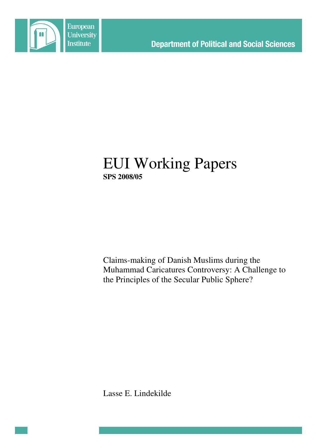

# EUI Working Papers **SPS 2008/05**

Claims-making of Danish Muslims during the Muhammad Caricatures Controversy: A Challenge to the Principles of the Secular Public Sphere?

Lasse E. Lindekilde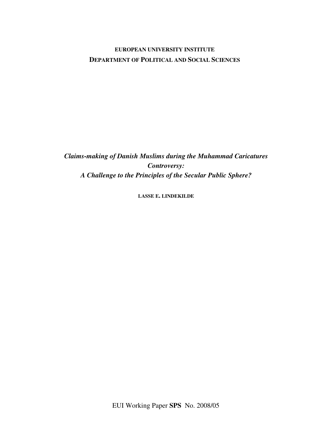# **EUROPEAN UNIVERSITY INSTITUTE DEPARTMENT OF POLITICAL AND SOCIAL SCIENCES**

*Claims-making of Danish Muslims during the Muhammad Caricatures Controversy: A Challenge to the Principles of the Secular Public Sphere?*

**LASSE E. LINDEKILDE**

EUI Working Paper **SPS** No. 2008/05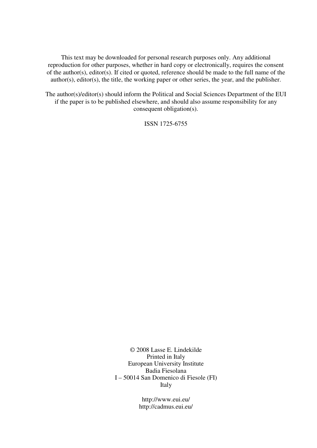This text may be downloaded for personal research purposes only. Any additional reproduction for other purposes, whether in hard copy or electronically, requires the consent of the author(s), editor(s). If cited or quoted, reference should be made to the full name of the author(s), editor(s), the title, the working paper or other series, the year, and the publisher.

The author(s)/editor(s) should inform the Political and Social Sciences Department of the EUI if the paper is to be published elsewhere, and should also assume responsibility for any consequent obligation(s).

ISSN 1725-6755

© 2008 Lasse E. Lindekilde Printed in Italy European University Institute Badia Fiesolana I – 50014 San Domenico di Fiesole (FI) Italy

> http://www.eui.eu/ http://cadmus.eui.eu/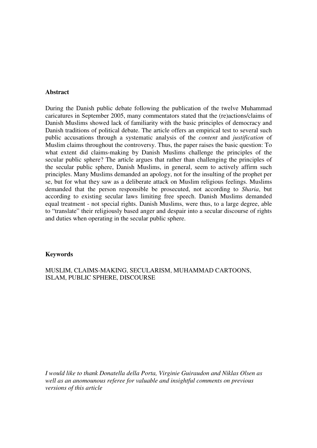#### **Abstract**

During the Danish public debate following the publication of the twelve Muhammad caricatures in September 2005, many commentators stated that the (re)actions/claims of Danish Muslims showed lack of familiarity with the basic principles of democracy and Danish traditions of political debate. The article offers an empirical test to several such public accusations through a systematic analysis of the *content* and *justification* of Muslim claims throughout the controversy. Thus, the paper raises the basic question: To what extent did claims-making by Danish Muslims challenge the principles of the secular public sphere? The article argues that rather than challenging the principles of the secular public sphere, Danish Muslims, in general, seem to actively affirm such principles. Many Muslims demanded an apology, not for the insulting of the prophet per se, but for what they saw as a deliberate attack on Muslim religious feelings. Muslims demanded that the person responsible be prosecuted, not according to *Sharia*, but according to existing secular laws limiting free speech. Danish Muslims demanded equal treatment - not special rights. Danish Muslims, were thus, to a large degree, able to "translate" their religiously based anger and despair into a secular discourse of rights and duties when operating in the secular public sphere.

#### **Keywords**

MUSLIM, CLAIMS-MAKING, SECULARISM, MUHAMMAD CARTOONS, ISLAM, PUBLIC SPHERE, DISCOURSE

*I would like to thank Donatella della Porta, Virginie Guiraudon and Niklas Olsen as well as an anomounous referee for valuable and insightful comments on previous versions of this article*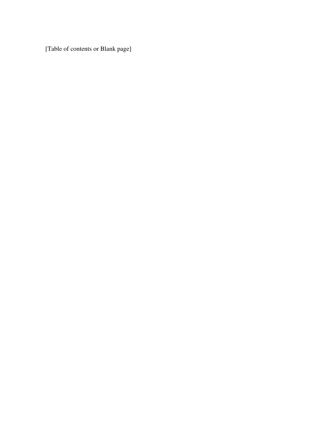[Table of contents or Blank page]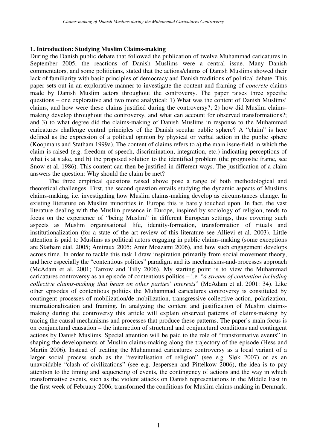#### **1. Introduction: Studying Muslim Claims-making**

During the Danish public debate that followed the publication of twelve Muhammad caricatures in September 2005, the reactions of Danish Muslims were a central issue. Many Danish commentators, and some politicians, stated that the actions/claims of Danish Muslims showed their lack of familiarity with basic principles of democracy and Danish traditions of political debate. This paper sets out in an explorative manner to investigate the content and framing of *concrete* claims made by Danish Muslim actors throughout the controversy. The paper raises three specific questions – one explorative and two more analytical: 1) What was the content of Danish Muslims' claims, and how were these claims justified during the controversy?; 2) how did Muslim claimsmaking develop throughout the controversy, and what can account for observed transformations?; and 3) to what degree did the claims-making of Danish Muslims in response to the Muhammad caricatures challenge central principles of the Danish secular public sphere? A "claim" is here defined as the expression of a political opinion by physical or verbal action in the public sphere (Koopmans and Statham 1999a). The content of claims refers to a) the main issue-field in which the claim is raised (e.g. freedom of speech, discrimination, integration, etc.) indicating perceptions of what is at stake, and b) the proposed solution to the identified problem (the prognostic frame, see Snow et al. 1986). This content can then be justified in different ways. The justification of a claim answers the question: Why should the claim be met?

The three empirical questions raised above pose a range of both methodological and theoretical challenges. First, the second question entails studying the dynamic aspects of Muslims claims-making, i.e. investigating how Muslim claims-making develop as circumstances change. In existing literature on Muslim minorities in Europe this is barely touched upon. In fact, the vast literature dealing with the Muslim presence in Europe, inspired by sociology of religion, tends to focus on the experience of "being Muslim" in different European settings, thus covering such aspects as Muslim organisational life, identity-formation, transformation of rituals and institutionalization (for a state of the art review of this literature see Allievi et al. 2003). Little attention is paid to Muslims as political actors engaging in public claims-making (some exceptions are Statham etal. 2005; Amiraux 2005; Amir Moazami 2006), and how such engagement develops across time. In order to tackle this task I draw inspiration primarily from social movement theory, and here especially the "contentious politics" paradigm and its mechanisms-and-processes approach (McAdam et al. 2001; Tarrow and Tilly 2006). My starting point is to view the Muhammad caricatures controversy as an episode of contentious politics – i.e. "*a stream of contention including collective claims-making that bears on other parties' interests*" (McAdam et al. 2001: 34). Like other episodes of contentious politics the Muhammad caricatures controversy is constituted by contingent processes of mobilization/de-mobilization, transgressive collective action, polarization, internationalization and framing. In analyzing the content and justification of Muslim claimsmaking during the controversy this article will explain observed patterns of claims-making by tracing the causal mechanisms and processes that produce these patterns. The paper's main focus is on conjunctural causation – the interaction of structural and conjunctural conditions and contingent actions by Danish Muslims. Special attention will be paid to the role of "transformative events" in shaping the developments of Muslim claims-making along the trajectory of the episode (Hess and Martin 2006). Instead of treating the Muhammad caricatures controversy as a local variant of a larger social process such as the "revitalisation of religion" (see e.g. Sløk 2007) or as an unavoidable "clash of civilizations" (see e.g. Jespersen and Pittelkow 2006), the idea is to pay attention to the timing and sequencing of events, the contingency of actions and the way in which transformative events, such as the violent attacks on Danish representations in the Middle East in the first week of February 2006, transformed the conditions for Muslim claims-making in Denmark.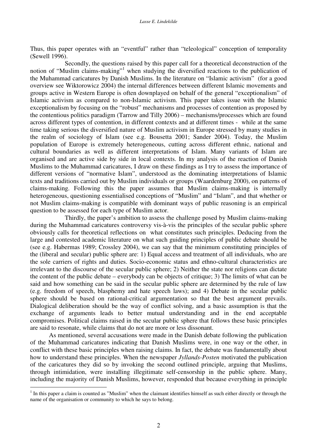Thus, this paper operates with an "eventful" rather than "teleological" conception of temporality (Sewell 1996).

Secondly, the questions raised by this paper call for a theoretical deconstruction of the notion of "Muslim claims-making"<sup>1</sup> when studying the diversified reactions to the publication of the Muhammad caricatures by Danish Muslims. In the literature on "Islamic activism" (for a good overview see Wiktorowicz 2004) the internal differences between different Islamic movements and groups active in Western Europe is often downplayed on behalf of the general "exceptionalism" of Islamic activism as compared to non-Islamic activism. This paper takes issue with the Islamic exceptionalism by focusing on the "robust" mechanisms and processes of contention as proposed by the contentious politics paradigm (Tarrow and Tilly 2006) – mechanisms/processes which are found across different types of contention, in different contexts and at different times - while at the same time taking serious the diversified nature of Muslim activism in Europe stressed by many studies in the realm of sociology of Islam (see e.g. Bousetta 2001; Sander 2004). Today, the Muslim population of Europe is extremely heterogeneous, cutting across different ethnic, national and cultural boundaries as well as different interpretations of Islam. Many variants of Islam are organised and are active side by side in local contexts. In my analysis of the reaction of Danish Muslims to the Muhammad caricatures, I draw on these findings as I try to assess the importance of different versions of "normative Islam", understood as the dominating interpretations of Islamic texts and traditions carried out by Muslim individuals or groups (Waardenburg 2000), on patterns of claims-making. Following this the paper assumes that Muslim claims-making is internally heterogeneous, questioning essentialised conceptions of "Muslim" and "Islam", and that whether or not Muslim claims-making is compatible with dominant ways of public reasoning is an empirical question to be assessed for each type of Muslim actor.

Thirdly, the paper's ambition to assess the challenge posed by Muslim claims-making during the Muhammad caricatures controversy vis-à-vis the principles of the secular public sphere obviously calls for theoretical reflections on what constitutes such principles. Deducing from the large and contested academic literature on what such guiding principles of public debate should be (see e.g. Habermas 1989; Crossley 2004), we can say that the minimum constituting principles of the (liberal and secular) public sphere are: 1) Equal access and treatment of all individuals, who are the sole carriers of rights and duties. Socio-economic status and ethno-cultural characteristics are irrelevant to the discourse of the secular public sphere; 2) Neither the state nor religions can dictate the content of the public debate – everybody can be objects of critique; 3) The limits of what can be said and how something can be said in the secular public sphere are determined by the rule of law (e.g. freedom of speech, blasphemy and hate speech laws); and 4) Debate in the secular public sphere should be based on rational-critical argumentation so that the best argument prevails. Dialogical deliberation should be the way of conflict solving, and a basic assumption is that the exchange of arguments leads to better mutual understanding and in the end acceptable compromises. Political claims raised in the secular public sphere that follows these basic principles are said to resonate, while claims that do not are more or less dissonant.

As mentioned, several accusations were made in the Danish debate following the publication of the Muhammad caricatures indicating that Danish Muslims were, in one way or the other, in conflict with these basic principles when raising claims. In fact, the debate was fundamentally about how to understand these principles. When the newspaper *Jyllands-Posten* motivated the publication of the caricatures they did so by invoking the second outlined principle, arguing that Muslims, through intimidation, were installing illegitimate self-censorship in the public sphere. Many, including the majority of Danish Muslims, however, responded that because everything in principle

 $1$  In this paper a claim is counted as "Muslim" when the claimant identifies himself as such either directly or through the name of the organisation or community to which he says to belong.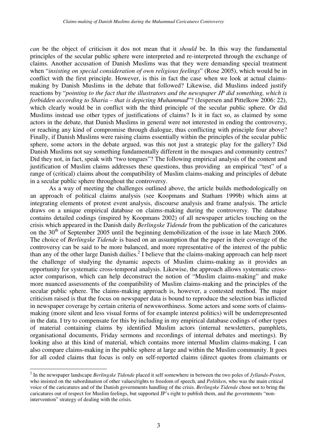*can* be the object of criticism it dos not mean that it *should* be. In this way the fundamental principles of the secular public sphere were interpreted and re-interpreted through the exchange of claims. Another accusation of Danish Muslims was that they were demanding special treatment when "*insisting on special consideration of own religious feelings*" (Rose 2005), which would be in conflict with the first principle. However, is this in fact the case when we look at actual claimsmaking by Danish Muslims in the debate that followed? Likewise, did Muslims indeed justify reactions by "*pointing to the fact that the illustrators and the newspaper JP did something, which is forbidden according to Sharia – that is depicting Muhammad*"? (Jespersen and Pittelkow 2006: 22), which clearly would be in conflict with the third principle of the secular public sphere. Or did Muslims instead use other types of justifications of claims? Is it in fact so, as claimed by some actors in the debate, that Danish Muslims in general were not interested in ending the controversy, or reaching any kind of compromise through dialogue, thus conflicting with principle four above? Finally, if Danish Muslims were raising claims essentially within the principles of the secular public sphere, some actors in the debate argued, was this not just a strategic play for the gallery? Did Danish Muslims not say something fundamentally different in the mosques and community centres? Did they not, in fact, speak with "two tongues"? The following empirical analysis of the content and justification of Muslim claims addresses these questions, thus providing an empirical "test" of a range of (critical) claims about the compatibility of Muslim claims-making and principles of debate in a secular public sphere throughout the controversy.

As a way of meeting the challenges outlined above, the article builds methodologically on an approach of political claims analysis (see Koopmans and Statham 1999b) which aims at integrating elements of protest event analysis, discourse analysis and frame analysis. The article draws on a unique empirical database on claims-making during the controversy. The database contains detailed codings (inspired by Koopmans 2002) of all newspaper articles touching on the crisis which appeared in the Danish daily *Berlingske Tidende* from the publication of the caricatures on the 30<sup>th</sup> of September 2005 until the beginning demobilization of the issue in late March 2006. The choice of *Berlingske Tidende* is based on an assumption that the paper in their coverage of the controversy can be said to be more balanced, and more representative of the interest of the public than any of the other large Danish dailies.<sup>2</sup> I believe that the claims-making approach can help meet the challenge of studying the dynamic aspects of Muslim claims-making as it provides an opportunity for systematic cross-temporal analysis. Likewise, the approach allows systematic crossactor comparison, which can help deconstruct the notion of "Muslim claims-making" and make more nuanced assessments of the compatibility of Muslim claims-making and the principles of the secular public sphere. The claims-making approach is, however, a contested method. The major criticism raised is that the focus on newspaper data is bound to reproduce the selection bias inflicted in newspaper coverage by certain criteria of newsworthiness. Some actors and some sorts of claimsmaking (more silent and less visual forms of for example interest politics) will be underrepresented in the data. I try to compensate for this by including in my empirical database codings of other types of material containing claims by identified Muslim actors (internal newsletters, pamphlets, organisational documents, Friday sermons and recordings of internal debates and meetings). By looking also at this kind of material, which contains more internal Muslim claims-making, I can also compare claims-making in the public sphere at large and within the Muslim community. It goes for all coded claims that focus is only on self-reported claims (direct quotes from claimants or

<sup>2</sup> In the newspaper landscape *Berlingske Tidende* placed it self somewhere in between the two poles of *Jyllands-Posten*, who insisted on the subordination of other values/rights to freedom of speech, and *Politiken*, who was the main critical voice of the caricatures and of the Danish governments handling of the crisis. *Berlingske Tidende* chose not to bring the caricatures out of respect for Muslim feelings, but supported JP's right to publish them, and the governments "nonintervention" strategy of dealing with the crisis.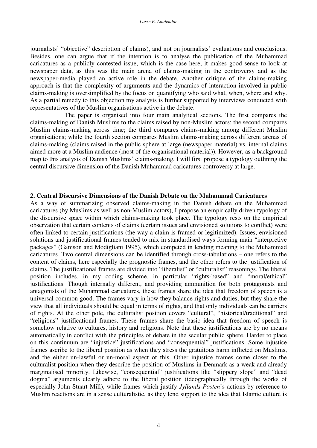journalists' "objective" description of claims), and not on journalists' evaluations and conclusions. Besides, one can argue that if the intention is to analyse the publication of the Muhammad caricatures as a publicly contested issue, which is the case here, it makes good sense to look at newspaper data, as this was the main arena of claims-making in the controversy and as the newspaper-media played an active role in the debate. Another critique of the claims-making approach is that the complexity of arguments and the dynamics of interaction involved in public claims-making is oversimplified by the focus on quantifying who said what, when, where and why. As a partial remedy to this objection my analysis is further supported by interviews conducted with representatives of the Muslim organisations active in the debate.

The paper is organised into four main analytical sections. The first compares the claims-making of Danish Muslims to the claims raised by non-Muslim actors; the second compares Muslim claims-making across time; the third compares claims-making among different Muslim organisations; while the fourth section compares Muslim claims-making across different arenas of claims-making (claims raised in the public sphere at large (newspaper material) vs. internal claims aimed more at a Muslim audience (most of the organisational material)). However, as a background map to this analysis of Danish Muslims' claims-making, I will first propose a typology outlining the central discursive dimension of the Danish Muhammad caricatures controversy at large.

#### **2. Central Discursive Dimensions of the Danish Debate on the Muhammad Caricatures**

As a way of summarizing observed claims-making in the Danish debate on the Muhammad caricatures (by Muslims as well as non-Muslim actors), I propose an empirically driven typology of the discursive space within which claims-making took place. The typology rests on the empirical observation that certain contents of claims (certain issues and envisioned solutions to conflict) were often linked to certain justifications (the way a claim is framed or legitimized). Issues, envisioned solutions and justificational frames tended to mix in standardised ways forming main "interpretive packages" (Gamson and Modigliani 1995), which competed in lending meaning to the Muhammad caricatures. Two central dimensions can be identified through cross-tabulations – one refers to the content of claims, here especially the prognostic frames, and the other refers to the justification of claims. The justificational frames are divided into "liberalist" or "culturalist" reasonings. The liberal position includes, in my coding scheme, in particular "rights-based" and "moral/ethical" justifications. Though internally different, and providing ammunition for both protagonists and antagonists of the Muhammad caricatures, these frames share the idea that freedom of speech is a universal common good. The frames vary in how they balance rights and duties, but they share the view that all individuals should be equal in terms of rights, and that only individuals can be carriers of rights. At the other pole, the culturalist position covers "cultural", "historical/traditional" and "religious" justificational frames. These frames share the basic idea that freedom of speech is somehow relative to cultures, history and religions. Note that these justifications are by no means automatically in conflict with the principles of debate in the secular public sphere. Harder to place on this continuum are "injustice" justifications and "consequential" justifications. Some injustice frames ascribe to the liberal position as when they stress the gratuitous harm inflicted on Muslims, and the either un-lawful or un-moral aspect of this. Other injustice frames come closer to the culturalist position when they describe the position of Muslims in Denmark as a weak and already marginalised minority. Likewise, "consequential" justifications like "slippery slope" and "dead dogma" arguments clearly adhere to the liberal position (ideographically through the works of especially John Stuart Mill), while frames which justify *Jyllands-Posten*'s actions by reference to Muslim reactions are in a sense culturalistic, as they lend support to the idea that Islamic culture is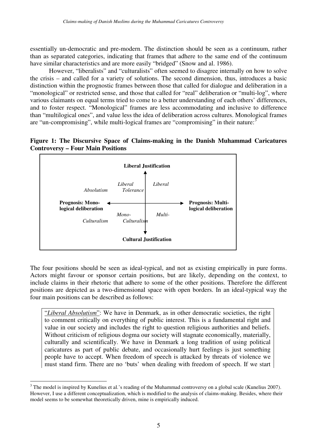essentially un-democratic and pre-modern. The distinction should be seen as a continuum, rather than as separated categories, indicating that frames that adhere to the same end of the continuum have similar characteristics and are more easily "bridged" (Snow and al. 1986).

However, "liberalists" and "culturalists" often seemed to disagree internally on how to solve the crisis – and called for a variety of solutions. The second dimension, thus, introduces a basic distinction within the prognostic frames between those that called for dialogue and deliberation in a "monological" or restricted sense, and those that called for "real" deliberation or "multi-log", where various claimants on equal terms tried to come to a better understanding of each others' differences, and to foster respect. "Monological" frames are less accommodating and inclusive to difference than "multilogical ones", and value less the idea of deliberation across cultures. Monological frames are "un-compromising", while multi-logical frames are "compromising" in their nature:<sup>3</sup>

**Figure 1: The Discursive Space of Claims-making in the Danish Muhammad Caricatures Controversy – Four Main Positions**



The four positions should be seen as ideal-typical, and not as existing empirically in pure forms. Actors might favour or sponsor certain positions, but are likely, depending on the context, to include claims in their rhetoric that adhere to some of the other positions. Therefore the different positions are depicted as a two-dimensional space with open borders. In an ideal-typical way the four main positions can be described as follows:

"*Liberal Absolutism*": We have in Denmark, as in other democratic societies, the right to comment critically on everything of public interest. This is a fundamental right and value in our society and includes the right to question religious authorities and beliefs. Without criticism of religious dogma our society will stagnate economically, materially, culturally and scientifically. We have in Denmark a long tradition of using political caricatures as part of public debate, and occasionally hurt feelings is just something people have to accept. When freedom of speech is attacked by threats of violence we must stand firm. There are no 'buts' when dealing with freedom of speech. If we start

<sup>&</sup>lt;sup>3</sup> The model is inspired by Kunelius et al.'s reading of the Muhammad controversy on a global scale (Kunelius 2007). However, I use a different conceptualization, which is modified to the analysis of claims-making. Besides, where their model seems to be somewhat theoretically driven, mine is empirically induced.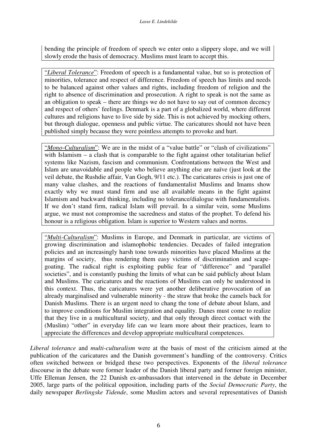bending the principle of freedom of speech we enter onto a slippery slope, and we will slowly erode the basis of democracy. Muslims must learn to accept this.

"*Liberal Tolerance*": Freedom of speech is a fundamental value, but so is protection of minorities, tolerance and respect of difference. Freedom of speech has limits and needs to be balanced against other values and rights, including freedom of religion and the right to absence of discrimination and prosecution. A right to speak is not the same as an obligation to speak – there are things we do not have to say out of common decency and respect of others' feelings. Denmark is a part of a globalized world, where different cultures and religions have to live side by side. This is not achieved by mocking others, but through dialogue, openness and public virtue. The caricatures should not have been published simply because they were pointless attempts to provoke and hurt.

"*Mono-Culturalism*": We are in the midst of a "value battle" or "clash of civilizations" with Islamism – a clash that is comparable to the fight against other totalitarian belief systems like Nazism, fascism and communism. Confrontations between the West and Islam are unavoidable and people who believe anything else are naïve (just look at the veil debate, the Rushdie affair, Van Gogh, 9/11 etc.). The caricatures crisis is just one of many value clashes, and the reactions of fundamentalist Muslims and Imams show exactly why we must stand firm and use all available means in the fight against Islamism and backward thinking, including no tolerance/dialogue with fundamentalists. If we don't stand firm, radical Islam will prevail. In a similar vein, some Muslims argue, we must not compromise the sacredness and status of the prophet. To defend his honour is a religious obligation. Islam is superior to Western values and norms.

"*Multi-Culturalism*": Muslims in Europe, and Denmark in particular, are victims of growing discrimination and islamophobic tendencies. Decades of failed integration policies and an increasingly harsh tone towards minorities have placed Muslims at the margins of society, thus rendering them easy victims of discrimination and scapegoating. The radical right is exploiting public fear of "difference" and "parallel societies", and is constantly pushing the limits of what can be said publicly about Islam and Muslims. The caricatures and the reactions of Muslims can only be understood in this context. Thus, the caricatures were yet another deliberative provocation of an already marginalised and vulnerable minority - the straw that broke the camels back for Danish Muslims. There is an urgent need to chang the tone of debate about Islam, and to improve conditions for Muslim integration and equality. Danes must come to realize that they live in a multicultural society, and that only through direct contact with the (Muslim) "other" in everyday life can we learn more about their practices, learn to appreciate the differences and develop appropriate multicultural competences.

*Liberal tolerance* and *multi-culturalism* were at the basis of most of the criticism aimed at the publication of the caricatures and the Danish government's handling of the controversy. Critics often switched between or bridged these two perspectives. Exponents of the *liberal tolerance* discourse in the debate were former leader of the Danish liberal party and former foreign minister, Uffe Elleman Jensen, the 22 Danish ex-ambassadors that intervened in the debate in December 2005, large parts of the political opposition, including parts of the *Social Democratic Party*, the daily newspaper *Berlingske Tidende*, some Muslim actors and several representatives of Danish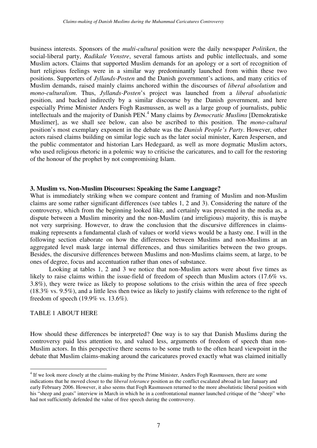business interests. Sponsors of the *multi-cultural* position were the daily newspaper *Politiken*, the social-liberal party, *Radikale Venstre*, several famous artists and public intellectuals, and some Muslim actors. Claims that supported Muslim demands for an apology or a sort of recognition of hurt religious feelings were in a similar way predominantly launched from within these two positions. Supporters of *Jyllands-Posten* and the Danish government's actions, and many critics of Muslim demands, raised mainly claims anchored within the discourses of *liberal absolutism* and *mono-culturalism*. Thus, *Jyllands-Posten*'s project was launched from a *liberal absolutistic* position, and backed indirectly by a similar discourse by the Danish government, and here especially Prime Minister Anders Fogh Rasmussen, as well as a large group of journalists, public intellectuals and the majority of Danish PEN. <sup>4</sup> Many claims by *Democratic Muslims* [Demokratiske Muslimer], as we shall see below, can also be ascribed to this position. The *mono-cultural* position's most exemplary exponent in the debate was the *Danish People's Party*. However, other actors raised claims building on similar logic such as the later social minister, Karen Jespersen, and the public commentator and historian Lars Hedegaard, as well as more dogmatic Muslim actors, who used religious rhetoric in a polemic way to criticise the caricatures, and to call for the restoring of the honour of the prophet by not compromising Islam.

#### **3. Muslim vs. Non-Muslim Discourses: Speaking the Same Language?**

What is immediately striking when we compare content and framing of Muslim and non-Muslim claims are some rather significant differences (see tables 1, 2 and 3). Considering the nature of the controversy, which from the beginning looked like, and certainly was presented in the media as, a dispute between a Muslim minority and the non-Muslim (and irreligious) majority, this is maybe not very surprising. However, to draw the conclusion that the discursive differences in claimsmaking represents a fundamental clash of values or world views would be a hasty one. I will in the following section elaborate on how the differences between Muslims and non-Muslims at an aggregated level mask large internal differences, and thus similarities between the two groups. Besides, the discursive differences between Muslims and non-Muslims claims seem, at large, to be ones of degree, focus and accentuation rather than ones of substance.

Looking at tables 1, 2 and 3 we notice that non-Muslim actors were about five times as likely to raise claims within the issue-field of freedom of speech than Muslim actors (17.6% vs. 3.8%), they were twice as likely to propose solutions to the crisis within the area of free speech (18.3% vs. 9.5%), and a little less then twice as likely to justify claims with reference to the right of freedom of speech (19.9% vs. 13.6%).

#### TABLE 1 ABOUT HERE

How should these differences be interpreted? One way is to say that Danish Muslims during the controversy paid less attention to, and valued less, arguments of freedom of speech than non-Muslim actors. In this perspective there seems to be some truth to the often heard viewpoint in the debate that Muslim claims-making around the caricatures proved exactly what was claimed initially

<sup>&</sup>lt;sup>4</sup> If we look more closely at the claims-making by the Prime Minister, Anders Fogh Rasmussen, there are some indications that he moved closer to the *liberal tolerance* position as the conflict escalated abroad in late January and early February 2006. However, it also seems that Fogh Rasmussen returned to the more absolutistic liberal position with his "sheep and goats" interview in March in which he in a confrontational manner launched critique of the "sheep" who had not sufficiently defended the value of free speech during the controversy.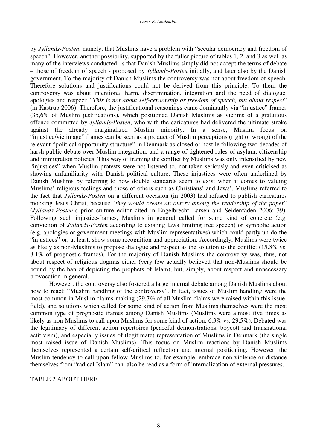by *Jyllands-Posten*, namely, that Muslims have a problem with "secular democracy and freedom of speech". However, another possibility, supported by the fuller picture of tables 1, 2, and 3 as well as many of the interviews conducted, is that Danish Muslims simply did not accept the terms of debate – those of freedom of speech - proposed by *Jyllands-Posten* initially, and later also by the Danish government. To the majority of Danish Muslims the controversy was not about freedom of speech. Therefore solutions and justifications could not be derived from this principle. To them the controversy was about intentional harm, discrimination, integration and the need of dialogue, apologies and respect: "*This is not about self-censorship or freedom of speech, but about respect*" (in Kastrup 2006). Therefore, the justificational reasonings came dominantly via "injustice" frames (35,6% of Muslim justifications), which positioned Danish Muslims as victims of a gratuitous offence committed by *Jyllands-Posten*, who with the caricatures had delivered the ultimate stroke against the already marginalized Muslim minority. In a sense, Muslim focus on "injustice/victimage" frames can be seen as a product of Muslim perceptions (right or wrong) of the relevant "political opportunity structure" in Denmark as closed or hostile following two decades of harsh public debate over Muslim integration, and a range of tightened rules of asylum, citizenship and immigration policies. This way of framing the conflict by Muslims was only intensified by new "injustices" when Muslim protests were not listened to, not taken seriously and even criticised as showing unfamiliarity with Danish political culture. These injustices were often underlined by Danish Muslims by referring to how double standards seem to exist when it comes to valuing Muslims' religious feelings and those of others such as Christians' and Jews'. Muslims referred to the fact that *Jyllands-Posten* on a different occasion (in 2003) had refused to publish caricatures mocking Jesus Christ, because "*they would create an outcry among the readership of the paper*" (*Jyllands-Posten*'s prior culture editor cited in Engelbrecht Larsen and Seidenfaden 2006: 39). Following such injustice-frames, Muslims in general called for some kind of concrete (e.g. conviction of *Jyllands-Posten* according to existing laws limiting free speech) or symbolic action (e.g. apologies or government meetings with Muslim representatives) which could partly un-do the "injustices" or, at least, show some recognition and appreciation. Accordingly, Muslims were twice as likely as non-Muslims to propose dialogue and respect as the solution to the conflict (15.8% vs. 8.1% of prognostic frames). For the majority of Danish Muslims the controversy was, thus, not about respect of religious dogmas either (very few actually believed that non-Muslims should be bound by the ban of depicting the prophets of Islam), but, simply, about respect and unnecessary provocation in general.

However, the controversy also fostered a large internal debate among Danish Muslims about how to react: "Muslim handling of the controversy". In fact, issues of Muslim handling were the most common in Muslim claims-making (29.7% of all Muslim claims were raised within this issuefield), and solutions which called for some kind of action from Muslims themselves were the most common type of prognostic frames among Danish Muslims (Muslims were almost five times as likely as non-Muslims to call upon Muslims for some kind of action: 6.3% vs. 29.5%). Debated was the legitimacy of different action repertoires (peaceful demonstrations, boycott and transnational actitivism), and especially issues of (legitimate) representation of Muslims in Denmark (the single most raised issue of Danish Muslims). This focus on Muslim reactions by Danish Muslims themselves represented a certain self-critical reflection and internal positioning. However, the Muslim tendency to call upon fellow Muslims to, for example, embrace non-violence or distance themselves from "radical Islam" can also be read as a form of internalization of external pressures.

#### TABLE 2 ABOUT HERE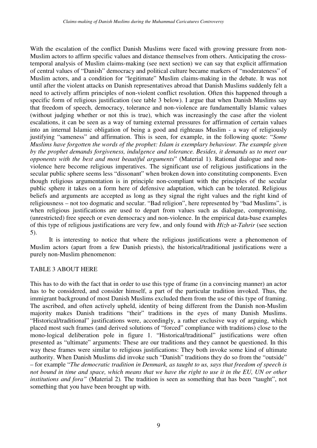With the escalation of the conflict Danish Muslims were faced with growing pressure from non-Muslim actors to affirm specific values and distance themselves from others. Anticipating the crosstemporal analysis of Muslim claims-making (see next section) we can say that explicit affirmation of central values of "Danish" democracy and political culture became markers of "moderateness" of Muslim actors, and a condition for "legitimate" Muslim claims-making in the debate. It was not until after the violent attacks on Danish representatives abroad that Danish Muslims suddenly felt a need to actively affirm principles of non-violent conflict resolution. Often this happened through a specific form of religious justification (see table 3 below). I argue that when Danish Muslims say that freedom of speech, democracy, tolerance and non-violence are fundamentally Islamic values (without judging whether or not this is true), which was increasingly the case after the violent escalations, it can be seen as a way of turning external pressures for affirmation of certain values into an internal Islamic obligation of being a good and righteaus Muslim - a way of religiously justifying "sameness" and affirmation. This is seen, for example, in the following quote: "*Some Muslims have forgotten the words of the prophet: Islam is exemplary behaviour. The example given by the prophet demands forgiveness, indulgence and tolerance. Besides, it demands us to meet our opponents with the best and most beautiful arguments*" (Material 1). Rational dialogue and nonviolence here become religious imperatives. The significant use of religious justifications in the secular public sphere seems less "dissonant" when broken down into constituting components. Even though religious argumentation is in principle non-compliant with the principles of the secular public sphere it takes on a form here of defensive adaptation, which can be tolerated. Religious beliefs and arguments are accepted as long as they signal the right values and the right kind of religiousness – not too dogmatic and secular. "Bad religion", here represented by "bad Muslims", is when religious justifications are used to depart from values such as dialogue, compromising, (unrestricted) free speech or even democracy and non-violence. In the empirical data-base examples of this type of religious justifications are very few, and only found with *Hizb ut-Tahrir* (see section 5).

It is interesting to notice that where the religious justifications were a phenomenon of Muslim actors (apart from a few Danish priests), the historical/traditional justifications were a purely non-Muslim phenomenon:

#### TABLE 3 ABOUT HERE

This has to do with the fact that in order to use this type of frame (in a convincing manner) an actor has to be considered, and consider himself, a part of the particular tradition invoked. Thus, the immigrant background of most Danish Muslims excluded them from the use of this type of framing. The ascribed, and often actively upheld, identity of being different from the Danish non-Muslim majority makes Danish traditions "their" traditions in the eyes of many Danish Muslims. "Historical/traditional" justifications were, accordingly, a rather exclusive way of arguing, which placed most such frames (and derived solutions of "forced" compliance with traditions) close to the mono-logical deliberation pole in figure 1. "Historical/traditional" justifications were often presented as "ultimate" arguments: These are our traditions and they cannot be questioned. In this way these frames were similar to religious justifications: They both invoke some kind of ultimate authority. When Danish Muslims did invoke such "Danish" traditions they do so from the "outside" – for example "*The democratic tradition in Denmark, as taught to us, says that freedom of speech is* not bound in time and space, which means that we have the right to use it in the EU, UN or other *institutions and fora"* (Material 2)*.* The tradition is seen as something that has been "taught", not something that you have been brought up with.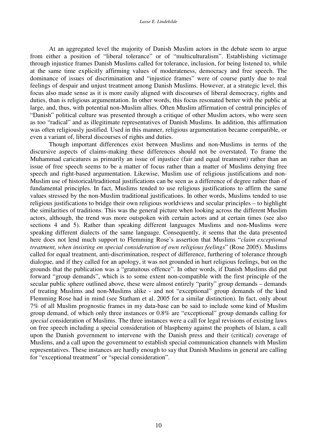At an aggregated level the majority of Danish Muslim actors in the debate seem to argue from either a position of "liberal tolerance" or of "multiculturalism". Establishing victimage through injustice frames Danish Muslims called for tolerance, inclusion, for being listened to, while at the same time explicitly affirming values of moderateness, democracy and free speech. The dominance of issues of discrimination and "injustice frames" were of course partly due to real feelings of despair and unjust treatment among Danish Muslims. However, at a strategic level, this focus also made sense as it is more easily aligned with discourses of liberal democracy, rights and duties, than is religious argumentation. In other words, this focus resonated better with the public at large, and, thus, with potential non-Muslim allies. Often Muslim affirmation of central principles of "Danish" political culture was presented through a critique of other Muslim actors, who were seen as too "radical" and as illegitimate representatives of Danish Muslims. In addition, this affirmation was often religiously justified. Used in this manner, religious argumentation became compatible, or even a variant of, liberal discourses of rights and duties.

Though important differences exist between Muslims and non-Muslims in terms of the discursive aspects of claims-making these differences should not be overstated. To frame the Muhammad caricatures as primarily an issue of injustice (fair and equal treatment) rather than an issue of free speech seems to be a matter of focus rather than a matter of Muslims denying free speech and right-based argumentation. Likewise, Muslim use of religious justifications and non-Muslim use of historical/traditional justifications can be seen as a difference of degree rather than of fundamental principles. In fact, Muslims tended to use religious justifications to affirm the same values stressed by the non-Muslim traditional justifications. In other words, Muslims tended to use religious justifications to bridge their own religious worldviews and secular principles – to highlight the similarities of traditions. This was the general picture when looking across the different Muslim actors, although, the trend was more outspoken with certain actors and at certain times (see also sections 4 and 5). Rather than speaking different languages Muslims and non-Muslims were speaking different dialects of the same language. Consequently, it seems that the data presented here does not lend much support to Flemming Rose's assertion that Muslims "*claim exceptional treatment, when insisting on special consideration of own religious feelings*" (Rose 2005). Muslims called for equal treatment, anti-discrimination, respect of difference, furthering of tolerance through dialogue, and if they called for an apology, it was not grounded in hurt religious feelings, but on the grounds that the publication was a "gratuitous offence". In other words, if Danish Muslims did put forward "group demands", which is to some extent non-compatible with the first principle of the secular public sphere outlined above, these were almost entirely "parity" group demands – demands of treating Muslims and non-Muslims alike - and not "exceptional" group demands of the kind Flemming Rose had in mind (see Statham et al. 2005 for a similar distinction). In fact, only about 7% of all Muslim prognostic frames in my data-base can be said to include some kind of Muslim group demand, of which only three instances or 0.8% are "exceptional" group demands calling for *special* consideration of Muslims. The three instances were a call for legal revisions of existing laws on free speech including a special consideration of blasphemy against the prophets of Islam, a call upon the Danish government to intervene with the Danish press and their (critical) coverage of Muslims, and a call upon the government to establish special communication channels with Muslim representatives. These instances are hardly enough to say that Danish Muslims in general are calling for "exceptional treatment" or "special consideration".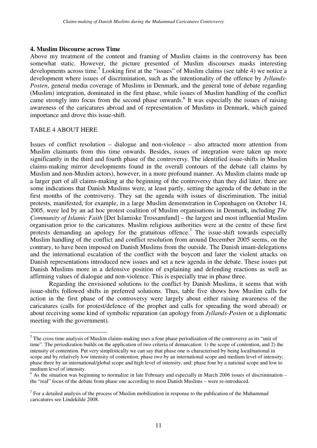#### **4. Muslim Discourse across Time**

Above my treatment of the content and framing of Muslim claims in the controversy has been somewhat static. However, the picture presented of Muslim discourses masks interesting developments across time.<sup>5</sup> Looking first at the "issues" of Muslim claims (see table 4) we notice a development where issues of discrimination, such as the intentionality of the offence by *Jyllands-Posten*, general media coverage of Muslims in Denmark, and the general tone of debate regarding (Muslim) integration, dominated in the first phase, while issues of Muslim handling of the conflict came strongly into focus from the second phase onwards. 6 It was especially the issues of raising awareness of the caricatures abroad and of representation of Muslims in Denmark, which gained importance and drove this issue-shift.

#### TABLE 4 ABOUT HERE

Issues of conflict resolution – dialogue and non-violence – also attracted more attention from Muslim claimants from this time onwards. Besides, issues of integration were taken up more significantly in the third and fourth phase of the controversy. The identified issue-shifts in Muslim claims-making mirror developments found in the overall contours of the debate (all claims by Muslim and non-Muslim actors), however, in a more profound manner. As Muslim claims made up a larger part of all claims-making at the beginning of the controversy than they did later, there are some indications that Danish Muslims were, at least partly, setting the agenda of the debate in the first months of the controversy. They sat the agenda with issues of discrimination. The initial protests, manifested, for example, in a large Muslim demonstration in Copenhagen on October 14, 2005, were led by an ad hoc protest coalition of Muslim organisations in Denmark, including *The Community of Islamic Faith* [Det Islamiske Trossamfund] – the largest and most influential Muslim organisation prior to the caricatures. Muslim religious authorities were at the centre of these first protests demanding an apology for the gratuitous offence.<sup>7</sup> The issue-shift towards especially Muslim handling of the conflict and conflict resolution from around December 2005 seems, on the contrary, to have been imposed on Danish Muslims from the outside. The Danish imam-delegations and the international escalation of the conflict with the boycott and later the violent attacks on Danish representations introduced new issues and set a new agenda in the debate. These issues put Danish Muslims more in a defensive position of explaining and defending reactions as well as affirming values of dialogue and non-violence. This is especially true in phase three.

Regarding the envisioned solutions to the conflict by Danish Muslims, it seems that with issue-shifts followed shifts in preferred solutions. Thus, table five shows how Muslim calls for action in the first phase of the controversy were largely about either raising awareness of the caricatures (calls for protest/defence of the prophet and calls for spreading the word abroad) or about receiving some kind of symbolic reparation (an apology from *Jyllands-Posten* or a diplomatic meeting with the government).

<sup>&</sup>lt;sup>5</sup> The cross time analysis of Muslim claims-making uses a four phase periodization of the controversy as its "unit of time". The periodization builds on the application of two criteria of demarcation: 1) the scope of contention, and 2) the intensity of contention. Put very simplistically we can say that phase one is characterised by being local/national in scope and by relatively low intensity of contention; phase two by an international scope and medium level of intensity; phase three by an international/global scope and high level of intensity, and; phase four by a national scope and low to medium level of intensity.

 $6$  As the situation was beginning to normalize in late February and especially in March 2006 issues of discrimination – the "real" focus of the debate from phase one according to most Danish Muslims – were re-introduced.

 $<sup>7</sup>$  For a detailed analysis of the process of Muslim mobilization in response to the publication of the Muhammad</sup> caricatures see Lindekilde 2008.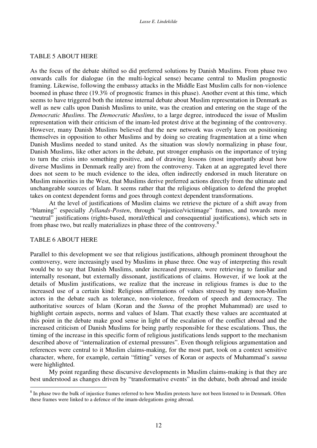#### TABLE 5 ABOUT HERE

As the focus of the debate shifted so did preferred solutions by Danish Muslims. From phase two onwards calls for dialogue (in the multi-logical sense) became central to Muslim prognostic framing. Likewise, following the embassy attacks in the Middle East Muslim calls for non-violence boomed in phase three (19.3% of prognostic frames in this phase). Another event at this time, which seems to have triggered both the intense internal debate about Muslim representation in Denmark as well as new calls upon Danish Muslims to unite, was the creation and entering on the stage of the *Democratic Muslims*. The *Democratic Muslims*, to a large degree, introduced the issue of Muslim representation with their criticism of the imam-led protest drive at the beginning of the controversy. However, many Danish Muslims believed that the new network was overly keen on positioning themselves in opposition to other Muslims and by doing so creating fragmentation at a time when Danish Muslims needed to stand united. As the situation was slowly normalizing in phase four, Danish Muslims, like other actors in the debate, put stronger emphasis on the importance of trying to turn the crisis into something positive, and of drawing lessons (most importantly about how diverse Muslims in Denmark really are) from the controversy. Taken at an aggregated level there does not seem to be much evidence to the idea, often indirectly endorsed in much literature on Muslim minorities in the West, that Muslims derive preferred actions directly from the ultimate and unchangeable sources of Islam. It seems rather that the religious obligation to defend the prophet takes on context dependent forms and goes through context dependent transformations.

At the level of justifications of Muslim claims we retrieve the picture of a shift away from "blaming" especially *Jyllands-Posten*, through "injustice/victimage" frames, and towards more "neutral" justifications (rights-based, moral/ethical and consequential justifications), which sets in from phase two, but really materializes in phase three of the controversy.<sup>8</sup>

#### TABLE 6 ABOUT HERE

Parallel to this development we see that religious justifications, although prominent throughout the controversy, were increasingly used by Muslims in phase three. One way of interpreting this result would be to say that Danish Muslims, under increased pressure, were retrieving to familiar and internally resonant, but externally dissonant, justifications of claims. However, if we look at the details of Muslim justifications, we realize that the increase in religious frames is due to the increased use of a certain kind: Religious affirmations of values stressed by many non-Muslim actors in the debate such as tolerance, non-violence, freedom of speech and democracy. The authoritative sources of Islam (Koran and the *Sunna* of the prophet Muhammad) are used to highlight certain aspects, norms and values of Islam. That exactly these values are accentuated at this point in the debate make good sense in light of the escalation of the conflict abroad and the increased criticism of Danish Muslims for being partly responsible for these escalations. Thus, the timing of the increase in this specific form of religious justifications lends support to the mechanism described above of "internalization of external pressures". Even though religious argumentation and references were central to it Muslim claims-making, for the most part, took on a context sensitive character, where, for example, certain "fitting" verses of Koran or aspects of Muhammad's *sunna* were highlighted.

My point regarding these discursive developments in Muslim claims-making is that they are best understood as changes driven by "transformative events" in the debate, both abroad and inside

 $8$  In phase two the bulk of injustice frames referred to how Muslim protests have not been listened to in Denmark. Often these frames were linked to a defence of the imam-delegations going abroad.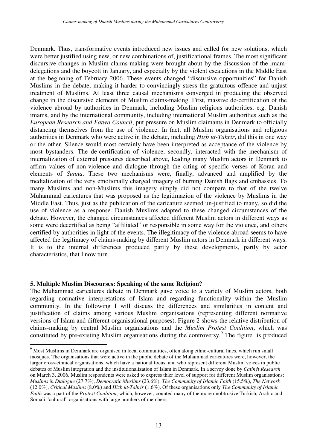Denmark. Thus, transformative events introduced new issues and called for new solutions, which were better justified using new, or new combinations of, justificational frames. The most significant discursive changes in Muslim claims-making were brought about by the discussion of the imamdelegations and the boycott in January, and especially by the violent escalations in the Middle East at the beginning of February 2006. These events changed "discursive opportunities" for Danish Muslims in the debate, making it harder to convincingly stress the gratuitous offence and unjust treatment of Muslims. At least three causal mechanisms converged in producing the observed change in the discursive elements of Muslim claims-making. First, massive de-certification of the violence abroad by authorities in Denmark, including Muslim religious authorities, e.g. Danish imams, and by the international community, including international Muslim authorities such as the *European Research and Fatwa Council*, put pressure on Muslim claimants in Denmark to officially distancing themselves from the use of violence. In fact, all Muslim organisations and religious authorities in Denmark who were active in the debate, including *Hizb ut-Tahrir*, did this in one way or the other. Silence would most certainly have been interpreted as acceptance of the violence by most bystanders. The de-certification of violence, secondly, interacted with the mechanism of internalization of external pressures described above, leading many Muslim actors in Denmark to affirm values of non-violence and dialogue through the citing of specific verses of Koran and elements of *Sunna*. These two mechanisms were, finally, advanced and amplified by the medialization of the very emotionally charged imagery of burning Danish flags and embassies. To many Muslims and non-Muslims this imagery simply did not compare to that of the twelve Muhammad caricatures that was proposed as the legitimazion of the violence by Muslims in the Middle East. Thus, just as the publication of the caricature seemed un-justified to many, so did the use of violence as a response. Danish Muslims adapted to these changed circumstances of the debate. However, the changed circumstances affected different Muslim actors in different ways as some were decertified as being "affiliated" or responsible in some way for the violence, and others certified by authorities in light of the events. The illegitimacy of the violence abroad seems to have affected the legitimacy of claims-making by different Muslim actors in Denmark in different ways. It is to the internal differences produced partly by these developments, partly by actor characteristics, that I now turn.

#### **5. Multiple Muslim Discourses: Speaking of the same Religion?**

The Muhammad caricatures debate in Denmark gave voice to a variety of Muslim actors, both regarding normative interpretations of Islam and regarding functionality within the Muslim community. In the following I will discuss the differences and similarities in content and justification of claims among various Muslim organisations (representing different normative versions of Islam and different organisational purposes). Figure 2 shows the relative distribution of claims-making by central Muslim organisations and the *Muslim Protest Coalition*, which was constituted by pre-existing Muslim organisations during the controversy.<sup>9</sup> The figure is produced

<sup>&</sup>lt;sup>9</sup> Most Muslims in Denmark are organised in local communities, often along ethno-cultural lines, which run small mosques. The organisations that were active in the public debate of the Muhammad caricatures were, however, the larger cross-ethnical organisations, which have a national focus, and who represent different Muslim voices in public debates of Muslim integration and the institutionalization of Islam in Denmark. In a servey done by *Catinét Research* on March 3, 2006, Muslim respondents were asked to express thier level of support for different Muslim organisations: *Muslims in Dialogue* (27.7%), *Democratic Muslims* (23.6%), *The Community of Islamic Faith* (15.5%), *The Network* (12.0%), *Critical Muslims* (8.0%) and *Hizb ut-Tahrir* (1.6%). Of these organisations only *The Community of Islamic Faith* was a part of the *Protest Coalition*, which, however, counted many of the more unobtrusive Turkish, Arabic and Somali "cultural" organisations with large numbers of members.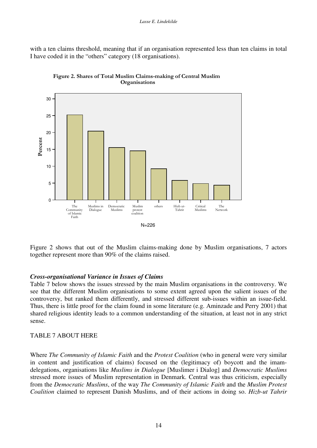with a ten claims threshold, meaning that if an organisation represented less than ten claims in total I have coded it in the "others" category (18 organisations).





Figure 2 shows that out of the Muslim claims-making done by Muslim organisations, 7 actors together represent more than 90% of the claims raised.

#### *Cross-organisational Variance in Issues of Claims*

Table 7 below shows the issues stressed by the main Muslim organisations in the controversy. We see that the different Muslim organisations to some extent agreed upon the salient issues of the controversy, but ranked them differently, and stressed different sub-issues within an issue-field. Thus, there is little proof for the claim found in some literature (e.g. Aminzade and Perry 2001) that shared religious identity leads to a common understanding of the situation, at least not in any strict sense.

### TABLE 7 ABOUT HERE

Where *The Community of Islamic Faith* and the *Protest Coalition* (who in general were very similar in content and justification of claims) focused on the (legitimacy of) boycott and the imamdelegations, organisations like *Muslims in Dialogue* [Muslimer i Dialog] and *Democratic Muslims* stressed more issues of Muslim representation in Denmark. Central was thus criticism, especially from the *Democratic Muslims*, of the way *The Community of Islamic Faith* and the *Muslim Protest Coalition* claimed to represent Danish Muslims, and of their actions in doing so. *Hizb-ut Tahrir*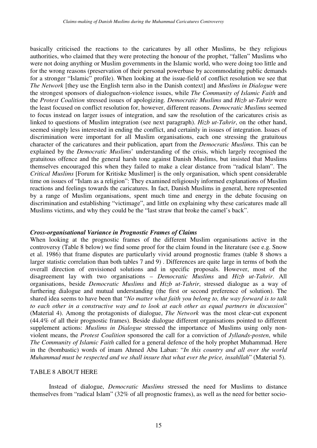basically criticised the reactions to the caricatures by all other Muslims, be they religious authorities, who claimed that they were protecting the honour of the prophet, "fallen" Muslims who were not doing anything or Muslim governments in the Islamic world, who were doing too little and for the wrong reasons (preservation of their personal powerbase by accommodating public demands for a stronger "Islamic" profile). When looking at the issue-field of conflict resolution we see that *The Network* [they use the English term also in the Danish context] and *Muslims in Dialogue* were the strongest sponsors of dialogue/non-violence issues, while *The Community of Islamic Faith* and the *Protest Coalition* stressed issues of apologizing. *Democratic Muslims* and *Hizb ut-Tahrir* were the least focused on conflict resolution for, however, different reasons. *Democratic Muslims* seemed to focus instead on larger issues of integration, and saw the resolution of the caricatures crisis as linked to questions of Muslim integration (see next paragraph). *Hizb ut-Tahrir*, on the other hand, seemed simply less interested in ending the conflict, and certainly in issues of integration. Issues of discrimination were important for all Muslim organisations, each one stressing the gratuitous character of the caricatures and their publication, apart from the *Democratic Muslims*. This can be explained by the *Democratic Muslims*' understanding of the crisis, which largely recognised the gratuitous offence and the general harsh tone against Danish Muslims, but insisted that Muslims themselves encouraged this when they failed to make a clear distance from "radical Islam". The *Critical Muslims* [Forum for Kritiske Muslimer] is the only organisation, which spent considerable time on issues of "Islam as a religion": They examined religiously informed explanations of Muslim reactions and feelings towards the caricatures. In fact, Danish Muslims in general, here represented by a range of Muslim organisations, spent much time and energy in the debate focusing on discrimination and establishing "victimage", and little on explaining why these caricatures made all Muslims victims, and why they could be the "last straw that broke the camel's back".

#### *Cross-organisational Variance in Prognostic Frames of Claims*

When looking at the prognostic frames of the different Muslim organisations active in the controversy (Table 8 below) we find some proof for the claim found in the literature (see e.g. Snow et al. 1986) that frame disputes are particularly vivid around prognostic frames (table 8 shows a larger statistic correlation than both tables 7 and 9) . Differences are quite large in terms of both the overall direction of envisioned solutions and in specific proposals. However, most of the disagreement lay with two organisations – *Democratic Muslims* and *Hizb ut-Tahrir*. All organisations, beside *Democratic Muslims* and *Hizb ut-Tahrir*, stressed dialogue as a way of furthering dialogue and mutual understanding (the first or second preference of solution). The shared idea seems to have been that "*No matter what faith you belong to, the way forward is to talk to each other in a constructive way and to look at each other as equal partners in discussion*" (Material 4). Among the protagonists of dialogue, *The Network* was the most clear-cut exponent (44.4% of all their prognostic frames). Beside dialogue different organisations pointed to different supplement actions: *Muslims in Dialogue* stressed the importance of Muslims using only nonviolent means, the *Protest Coalition* sponsored the call for a conviction of *Jyllands-posten*, while *The Community of Islamic Faith* called for a general defence of the holy prophet Muhammad. Here in the (bombastic) words of imam Ahmed Abu Laban: "*In this country and all over the world Muhammad must be respected and we shall insure that what ever the price, insahllah*" (Material 5).

#### TABLE 8 ABOUT HERE

Instead of dialogue, *Democratic Muslims* stressed the need for Muslims to distance themselves from "radical Islam" (32% of all prognostic frames), as well as the need for better socio-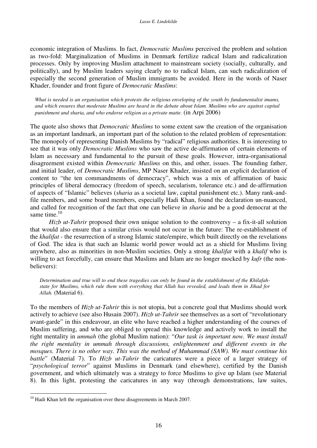economic integration of Muslims. In fact, *Democratic Muslims* perceived the problem and solution as two-fold: Marginalization of Muslims in Denmark fertilize radical Islam and radicalization processes. Only by improving Muslim attachment to mainstream society (socially, culturally, and politically), and by Muslim leaders saying clearly no to radical Islam, can such radicalization of especially the second generation of Muslim immigrants be avoided. Here in the words of Naser Khader, founder and front figure of *Democratic Muslims*:

What is needed is an organisation which protests the religious enveloping of the youth by fundamentalist imams, and which ensures that moderate Muslims are heard in the debate about Islam. Muslims who are against capital *punishment and sharia, and who endorse religion as a private matte.* (in Arpi 2006)

The quote also shows that *Democratic Muslims* to some extent saw the creation of the organisation as an important landmark, an important part of the solution to the related problem of representation: The monopoly of representing Danish Muslims by "radical" religious authorities. It is interesting to see that it was only *Democratic Muslims* who saw the active de-affirmation of certain elements of Islam as necessary and fundamental to the pursuit of these goals. However, intra-organisational disagreement existed within *Democratic Muslims* on this, and other, issues. The founding father, and initial leader, of *Democratic Muslims*, MP Naser Khader, insisted on an explicit declaration of content to "the ten commandments of democracy", which was a mix of affirmation of basic principles of liberal democracy (freedom of speech, secularism, tolerance etc.) and de-affirmation of aspects of "Islamic" believes (*sharia* as a societal law, capital punishment etc.). Many rank-andfile members, and some board members, especially Hadi Khan, found the declaration un-nuanced, and called for recognition of the fact that one can believe in *sharia* and be a good democrat at the same time.<sup>10</sup>

*Hizb ut-Tahrir* proposed their own unique solution to the controversy – a fix-it-all solution that would also ensure that a similar crisis would not occur in the future: The re-establishment of the *khalifat* - the resurrection of a strong Islamic state/empire, which built directly on the revelations of God. The idea is that such an Islamic world power would act as a shield for Muslims living anywhere, also as minorities in non-Muslim societies. Only a strong *khalifat* with a *khalif* who is willing to act forcefully, can ensure that Muslims and Islam are no longer mocked by *kufr* (the nonbelievers):

Determination and true will to end these tragedies can only be found in the establishment of the Khilafahstate for Muslims, which rule them with everything that Allah has revealed, and leads them in Jihad for *Allah.* (Material 6).

To the members of *Hizb ut-Tahrir* this is not utopia, but a concrete goal that Muslims should work actively to achieve (see also Husain 2007). *Hizb ut-Tahrir* see themselves as a sort of "revolutionary avant-garde" in this endeavour, an elite who have reached a higher understanding of the courses of Muslim suffering, and who are obliged to spread this knowledge and actively work to install the right mentality in *ummah* (the global Muslim nation): "*Our task is important now. We must install the right mentality in ummah through discussions, enlightenment and different events in the mosques. There is no other way. This was the method of Muhammad (SAW). We must continue his battle*" (Material 7). To *Hizb ut-Tahrir* the caricatures were a piece of a larger strategy of "*psychological terror*" against Muslims in Denmark (and elsewhere), certified by the Danish government, and which ultimately was a strategy to force Muslims to give up Islam (see Material 8). In this light, protesting the caricatures in any way (through demonstrations, law suites,

<sup>&</sup>lt;sup>10</sup> Hadi Khan left the organisation over these disagreements in March 2007.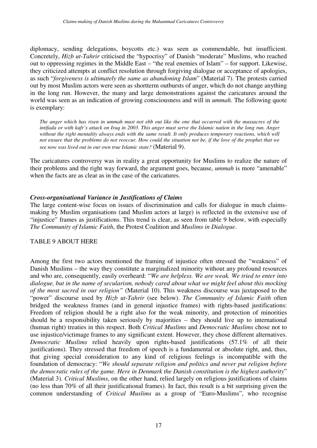diplomacy, sending delegations, boycotts etc.) was seen as commendable, but insufficient. Concretely, *Hizb ut-Tahrir* criticised the "hypocrisy" of Danish "moderate" Muslims, who reached out to oppressing regimes in the Middle East – "the real enemies of Islam" – for support. Likewise, they criticized attempts at conflict resolution through forgiving dialogue or acceptance of apologies, as such "*forgiveness is ultimately the same as abandoning Islam*" (Material 7). The protests carried out by most Muslim actors were seen as shortterm outbursts of anger, which do not change anything in the long run. However, the many and large demonstrations against the caricatures around the world was seen as an indication of growing consciousness and will in *ummah*. The following quote is exemplary:

The anger which has risen in ummah must not ebb out like the one that occurred with the massacres of the intifada or with kufr's attack on Iraq in 2003. This anger must serve the Islamic nation in the long run. Anger without the right mentality always ends with the same result. It only produces temporary reactions, which will not ensure that the problems do not reoccur. How could the situation not be, if the love of the prophet that we *see now was lived out in our own true Islamic state?* (Material 9).

The caricatures controversy was in reality a great opportunity for Muslims to realize the nature of their problems and the right way forward, the argument goes, because, *ummah* is more "amenable" when the facts are as clear as in the case of the caricatures.

### *Cross-organisational Variance in Justifications of Claims*

The large content-wise focus on issues of discrimination and calls for dialogue in much claimsmaking by Muslim organisations (and Muslim actors at large) is reflected in the extensive use of "injustice" frames as justifications. This trend is clear, as seen from table 9 below, with especially *The Community of Islamic Faith*, the Protest Coalition and *Muslims in Dialogue*.

### TABLE 9 ABOUT HERE

Among the first two actors mentioned the framing of injustice often stressed the "weakness" of Danish Muslims – the way they constitute a marginalized minority without any profound resources and who are, consequently, easily overheard: "*We are helpless. We are weak. We tried to enter into dialogue, but in the name of secularism, nobody cared about what we might feel about this mocking of the most sacred in our religion"* (Material 10). This weakness discourse was juxtaposed to the "power" discourse used by *Hizb ut-Tahrir* (see below). *The Community of Islamic Faith* often bridged the weakness frames (and in general injustice frames) with rights-based justifications: Freedom of religion should be a right also for the weak minority, and protection of minorities should be a responsibility taken seriously by majorities – they should live up to international (human right) treaties in this respect. Both *Critical Muslims* and *Democratic Muslims* chose not to use injustice/victimage frames to any significant extent. However, they chose different alternatives. *Democratic Muslims* relied heavily upon rights-based justifications (57.1% of all their justifications). They stressed that freedom of speech is a fundamental or absolute right, and, thus, that giving special consideration to any kind of religious feelings is incompatible with the foundation of democracy: "*We should separate religion and politics and never put religion before the democratic rules of the game. Here in Denmark the Danish constitution is the highest authority*" (Material 3). *Critical Muslims*, on the other hand, relied largely on religious justifications of claims (no less than 70% of all their justificational frames). In fact, this result is a bit surprising given the common understanding of *Critical Muslims* as a group of "Euro-Muslims", who recognise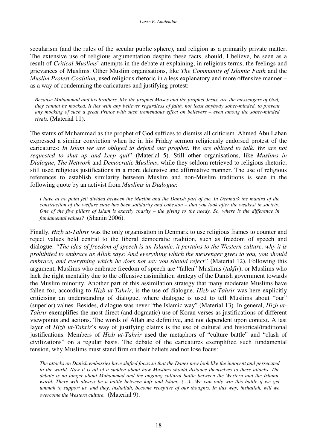secularism (and the rules of the secular public sphere), and religion as a primarily private matter. The extensive use of religious argumentation despite these facts, should, I believe, be seen as a result of *Critical Muslims*' attempts in the debate at explaining, in religious terms, the feelings and grievances of Muslims. Other Muslim organisations, like *The Community of Islamic Faith* and the *Muslim Protest Coalition*, used religious rhetoric in a less explanatory and more offensive manner – as a way of condemning the caricatures and justifying protest:

Because Muhammad and his brothers, like the prophet Moses and the prophet Jesus, are the messengers of God, they cannot be mocked. It lies with any believer regardless of faith, not least anybody sober-minded, to prevent any mocking of such a great Prince with such tremendous effect on believers – even among the sober-minded *rivals.* (Material 11).

The status of Muhammad as the prophet of God suffices to dismiss all criticism. Ahmed Abu Laban expressed a similar conviction when he in his Friday sermon religiously endorsed protest of the caricatures: *In Islam we are obliged to defend our prophet. We are obliged to talk. We are not requested to shut up and keep quit*" (Material 5). Still other organisations, like *Muslims in Dialogue*, *The Network* and *Democratic Muslims*, while they seldom retrieved to religious rhetoric, still used religious justifications in a more defensive and affirmative manner. The use of religious references to establish similarity between Muslim and non-Muslim traditions is seen in the following quote by an activist from *Muslims in Dialogue*:

I have at no point felt divided between the Muslim and the Danish part of me. In Denmark the mantra of the construction of the welfare state has been solidarity and cohesion – that you look after the weakest in society. One of the five pillars of Islam is exactly charity  $-$  the giving to the needy. So, where is the difference in *fundamental values?* (Shanin 2006).

Finally, *Hizb ut-Tahrir* was the only organisation in Denmark to use religious frames to counter and reject values held central to the liberal democratic tradition, such as freedom of speech and dialogue: *"The idea of freedom of speech is un-Islamic, it pertains to the Western culture, why it is prohibited to embrace as Allah says: And everything which the messenger gives to you, you should embrace, and everything which he does not say you should reject"* (Material 12). Following this argument, Muslims who embrace freedom of speech are "fallen" Muslims (*takfir*), or Muslims who lack the right mentality due to the offensive assimilation strategy of the Danish government towards the Muslim minority. Another part of this assimilation strategy that many moderate Muslims have fallen for, according to *Hizb ut-Tahrir*, is the use of dialogue. *Hizb ut-Tahrir* was here explicitly criticising an understanding of dialogue, where dialogue is used to tell Muslims about "our" (superior) values. Besides, dialogue was never "the Islamic way" (Material 13). In general, *Hizb ut-Tahrir* exemplifies the most direct (and dogmatic) use of Koran verses as justifications of different viewpoints and actions. The words of Allah are definitive, and not dependent upon context. A last layer of *Hizb ut-Tahrir*'s way of justifying claims is the use of cultural and historical/traditional justifications. Members of *Hizb ut-Tahrir* used the metaphors of "culture battle" and "clash of civilizations" on a regular basis. The debate of the caricatures exemplified such fundamental tension, why Muslims must stand firm on their beliefs and not lose focus:

The attacks on Danish embassies have shifted focus so that the Danes now look like the innocent and persecuted to the world. Now it is all of a sudden about how Muslims should distance themselves to these attacks. The *debate is no longer about Muhammad and the ongoing cultural battle between the Western and the Islamic* world. There will always be a battle between kufr and Islam...(...)...We can only win this battle if we get ummah to support us, and they, inshallah, become receptive of our thoughts. In this way, inshallah, will we *overcome the Western culture.* (Material 9).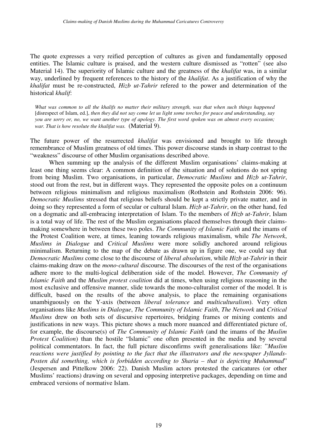The quote expresses a very reified perception of cultures as given and fundamentally opposed entities. The Islamic culture is praised, and the western culture dismissed as "rotten" (see also Material 14). The superiority of Islamic culture and the greatness of the *khalifat* was, in a similar way, underlined by frequent references to the history of the *khalifat*. As a justification of why the *khalifat* must be re-constructed, *Hizb ut-Tahrir* refered to the power and determination of the historical *khalif*:

What was common to all the khalifs no matter their military strength, was that when such things happened [disrespect of Islam, ed.], then they did not say come let us light some torches for peace and understanding, say you are sorry or, no, we want another type of apology. The first word spoken was on almost every occasion; *war. That is how resolute the khalifat was.* (Material 9).

The future power of the resurrected *khalifat* was envisioned and brought to life through remembrance of Muslim greatness of old times. This power discourse stands in sharp contrast to the "weakness" discourse of other Muslim organisations described above.

When summing up the analysis of the different Muslim organisations' claims-making at least one thing seems clear: A common definition of the situation and of solutions do not spring from being Muslim. Two organisations, in particular, *Democratic Muslims* and *Hizb ut-Tahrir*, stood out from the rest, but in different ways. They represented the opposite poles on a continuum between religious minimalism and religious maximalism (Rothstein and Rothstein 2006: 96). *Democratic Muslims* stressed that religious beliefs should be kept a strictly private matter, and in doing so they represented a form of secular or cultural Islam. *Hizb ut-Tahrir*, on the other hand, fed on a dogmatic and all-embracing interpretation of Islam. To the members of *Hizb ut-Tahrir*, Islam is a total way of life. The rest of the Muslim organisations placed themselves through their claimsmaking somewhere in between these two poles. *The Community of Islamic Faith* and the imams of the Protest Coalition were, at times, leaning towards religious maximalism, while *The Network*, *Muslims in Dialogue* and *Critical Muslims* were more solidly anchored around religious minimalism. Returning to the map of the debate as drawn up in figure one, we could say that *Democratic Muslims* come close to the discourse of *liberal absolutism*, while *Hizb ut-Tahrir* in their claims-making draw on the *mono-cultural* discourse. The discourses of the rest of the organisations adhere more to the multi-logical deliberation side of the model. However, *The Community of Islamic Faith* and the *Muslim protest coalition* did at times, when using religious reasoning in the most exclusive and offensive manner, slide towards the mono-culturalist corner of the model. It is difficult, based on the results of the above analysis, to place the remaining organisations unambiguously on the Y-axis (between *liberal tolerance* and *multiculturalism*). Very often organisations like *Muslims in Dialogue*, *The Community of Islamic Faith*, *The Network* and *Critical Muslims* drew on both sets of discursive repertoires, bridging frames or mixing contents and justifications in new ways. This picture shows a much more nuanced and differentiated picture of, for example, the discourse(s) of *The Community of Islamic Faith* (and the imams of the *Muslim Protest Coalition*) than the hostile "Islamic" one often presented in the media and by several political commentators. In fact, the full picture disconfirms swift generalisations like: "*Muslim reactions were justified by pointing to the fact that the illustrators and the newspaper Jyllands-Posten did something, which is forbidden according to Sharia – that is depicting Muhammad*" (Jespersen and Pittelkow 2006: 22). Danish Muslim actors protested the caricatures (or other Muslims' reactions) drawing on several and opposing interpretive packages, depending on time and embraced versions of normative Islam.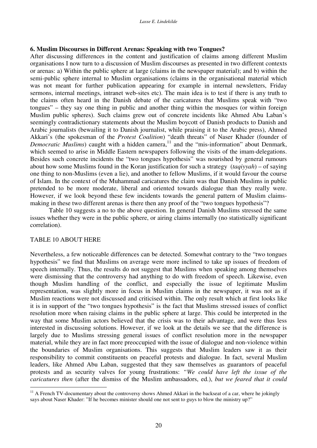### **6. Muslim Discourses in Different Arenas: Speaking with two Tongues?**

After discussing differences in the content and justification of claims among different Muslim organisations I now turn to a discussion of Muslim discourses as presented in two different contexts or arenas: a) Within the public sphere at large (claims in the newspaper material); and b) within the semi-public sphere internal to Muslim organisations (claims in the organisational material which was not meant for further publication appearing for example in internal newsletters, Friday sermons, internal meetings, intranet web-sites etc). The main idea is to test if there is any truth to the claims often heard in the Danish debate of the caricatures that Muslims speak with "two tongues" – they say one thing in public and another thing within the mosques (or within foreign Muslim public spheres). Such claims grew out of concrete incidents like Ahmed Abu Laban's seemingly contradictionary statements about the Muslim boycott of Danish products to Danish and Arabic journalists (bewailing it to Danish journalist, while praising it to the Arabic press), Ahmed Akkari's (the spokesman of the *Protest Coalition*) "death threats" of Naser Khader (founder of Democratic Muslims) caught with a hidden camera,<sup>11</sup> and the "mis-information" about Denmark, which seemed to arise in Middle Eastern newspapers following the visits of the imam-delegations. Besides such concrete incidents the "two tongues hypothesis" was nourished by general rumours about how some Muslims found in the Koran justification for such a strategy (*taqiyyah*) – of saying one thing to non-Muslims (even a lie), and another to fellow Muslims, if it would favour the course of Islam. In the context of the Muhammad caricatures the claim was that Danish Muslims in public pretended to be more moderate, liberal and oriented towards dialogue than they really were. However, if we look beyond these few incidents towards the general pattern of Muslim claimsmaking in these two different arenas is there then any proof of the "two tongues hypothesis"?

Table 10 suggests a no to the above question. In general Danish Muslims stressed the same issues whether they were in the public sphere, or airing claims internally (no statistically significant correlation).

### TABLE 10 ABOUT HERE

Nevertheless, a few noticeable differences can be detected. Somewhat contrary to the "two tongues hypothesis" we find that Muslims on average were more inclined to take up issues of freedom of speech internally. Thus, the results do not suggest that Muslims when speaking among themselves were dismissing that the controversy had anything to do with freedom of speech. Likewise, even though Muslim handling of the conflict, and especially the issue of legitimate Muslim representation, was slightly more in focus in Muslim claims in the newspaper, it was not as if Muslim reactions were not discussed and criticised within. The only result which at first looks like it is in support of the "two tongues hypothesis" is the fact that Muslims stressed issues of conflict resolution more when raising claims in the public sphere at large. This could be interpreted in the way that some Muslim actors believed that the crisis was to their advantage, and were thus less interested in discussing solutions. However, if we look at the details we see that the difference is largely due to Muslims stressing general issues of conflict resolution more in the newspaper material, while they are in fact more preoccupied with the issue of dialogue and non-violence within the boundaries of Muslim organisations. This suggests that Muslim leaders saw it as their responsibility to commit constituents on peaceful protests and dialogue. In fact, several Muslim leaders, like Ahmed Abu Laban, suggested that they saw themselves as guarantors of peaceful protests and as security valves for young frustrations: *"We could have left the issue of the caricatures then* (after the dismiss of the Muslim ambassadors, ed.), *but we feared that it could*

 $11$  A French TV-documentary about the controversy shows Ahmed Akkari in the backseat of a car, where he jokingly says about Naser Khader: "If he becomes minister should one not sent to guys to blow the ministry up?"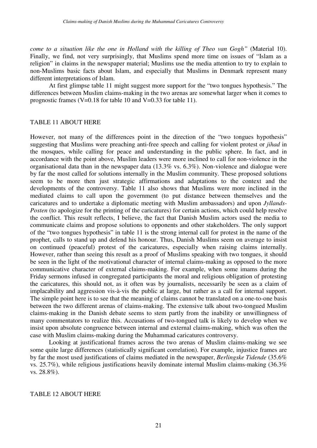*come to a situation like the one in Holland with the killing of Theo van Gogh"* (Material 10). Finally, we find, not very surprisingly, that Muslims spend more time on issues of "Islam as a religion" in claims in the newspaper material; Muslims use the media attention to try to explain to non-Muslims basic facts about Islam, and especially that Muslims in Denmark represent many different interpretations of Islam.

At first glimpse table 11 might suggest more support for the "two tongues hypothesis." The differences between Muslim claims-making in the two arenas are somewhat larger when it comes to prognostic frames (V=0.18 for table 10 and V=0.33 for table 11).

#### TABLE 11 ABOUT HERE

However, not many of the differences point in the direction of the "two tongues hypothesis" suggesting that Muslims were preaching anti-free speech and calling for violent protest or *jihad* in the mosques, while calling for peace and understanding in the public sphere. In fact, and in accordance with the point above, Muslim leaders were more inclined to call for non-violence in the organisational data than in the newspaper data (13.3% vs. 6.3%). Non-violence and dialogue were by far the most called for solutions internally in the Muslim community. These proposed solutions seem to be more then just strategic affirmations and adaptations to the context and the developments of the controversy. Table 11 also shows that Muslims were more inclined in the mediated claims to call upon the government (to put distance between themselves and the caricatures and to undertake a diplomatic meeting with Muslim ambassadors) and upon *Jyllands-Posten* (to apologize for the printing of the caricatures) for certain actions, which could help resolve the conflict. This result reflects, I believe, the fact that Danish Muslim actors used the media to communicate claims and propose solutions to opponents and other stakeholders. The only support of the "two tongues hypothesis" in table 11 is the strong internal call for protest in the name of the prophet, calls to stand up and defend his honour. Thus, Danish Muslims seem on average to insist on continued (peaceful) protest of the caricatures, especially when raising claims internally. However, rather than seeing this result as a proof of Muslims speaking with two tongues, it should be seen in the light of the motivational character of internal claims-making as opposed to the more communicative character of external claims-making. For example, when some imams during the Friday sermons infused in congregated participants the moral and religious obligation of protesting the caricatures, this should not, as it often was by journalists, necessarily be seen as a claim of implacability and aggression vis-à-vis the public at large, but rather as a call for internal support. The simple point here is to see that the meaning of claims cannot be translated on a one-to-one basis between the two different arenas of claims-making. The extensive talk about two-tongued Muslim claims-making in the Danish debate seems to stem partly from the inability or unwillingness of many commentators to realize this. Accusations of two-tongued talk is likely to develop when we insist upon absolute congruence between internal and external claims-making, which was often the case with Muslim claims-making during the Muhammad caricatures controversy.

Looking at justificational frames across the two arenas of Muslim claims-making we see some quite large differences (statistically significant correlation). For example, injustice frames are by far the most used justifications of claims mediated in the newspaper, *Berlingske Tidende* (35.6% vs. 25.7%), while religious justifications heavily dominate internal Muslim claims-making (36.3% vs. 28.8%).

#### TABLE 12 ABOUT HERE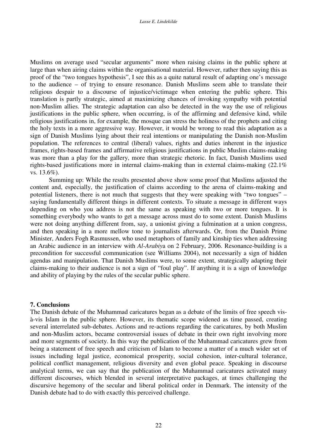Muslims on average used "secular arguments" more when raising claims in the public sphere at large than when airing claims within the organisational material. However, rather then saying this as proof of the "two tongues hypothesis", I see this as a quite natural result of adapting one's message to the audience – of trying to ensure resonance. Danish Muslims seem able to translate their religious despair to a discourse of injustice/victimage when entering the public sphere. This translation is partly strategic, aimed at maximizing chances of invoking sympathy with potential non-Muslim allies. The strategic adaptation can also be detected in the way the use of religious justifications in the public sphere, when occurring, is of the affirming and defensive kind, while religious justifications in, for example, the mosque can stress the holiness of the prophets and citing the holy texts in a more aggressive way. However, it would be wrong to read this adaptation as a sign of Danish Muslims lying about their real intentions or manipulating the Danish non-Muslim population. The references to central (liberal) values, rights and duties inherent in the injustice frames, rights-based frames and affirmative religious justifications in public Muslim claims-making was more than a play for the gallery, more than strategic rhetoric. In fact, Danish Muslims used rights-based justifications more in internal claims-making than in external claims-making (22.1% vs. 13.6%).

Summing up: While the results presented above show some proof that Muslims adjusted the content and, especially, the justification of claims according to the arena of claims-making and potential listeners, there is not much that suggests that they were speaking with "two tongues" – saying fundamentally different things in different contexts. To situate a message in different ways depending on who you address is not the same as speaking with two or more tongues. It is something everybody who wants to get a message across must do to some extent. Danish Muslims were not doing anything different from, say, a unionist giving a fulmination at a union congress, and then speaking in a more mellow tone to journalists afterwards. Or, from the Danish Prime Minister, Anders Fogh Rasmussen, who used metaphors of family and kinship ties when addressing an Arabic audience in an interview with *Al-Arabiy*a on 2 February, 2006. Resonance-building is a precondition for successful communication (see Williams 2004), not necessarily a sign of hidden agendas and manipulation. That Danish Muslims were, to some extent, strategically adapting their claims-making to their audience is not a sign of "foul play". If anything it is a sign of knowledge and ability of playing by the rules of the secular public sphere.

#### **7. Conclusions**

The Danish debate of the Muhammad caricatures began as a debate of the limits of free speech visà-vis Islam in the public sphere. However, its thematic scope widened as time passed, creating several interrelated sub-debates. Actions and re-actions regarding the caricatures, by both Muslim and non-Muslim actors, became controversial issues of debate in their own right involving more and more segments of society. In this way the publication of the Muhammad caricatures grew from being a statement of free speech and criticism of Islam to become a matter of a much wider set of issues including legal justice, economical prosperity, social cohesion, inter-cultural tolerance, political conflict management, religious diversity and even global peace. Speaking in discourse analytical terms, we can say that the publication of the Muhammad caricatures activated many different discourses, which blended in several interpretative packages, at times challenging the discursive hegemony of the secular and liberal political order in Denmark. The intensity of the Danish debate had to do with exactly this perceived challenge.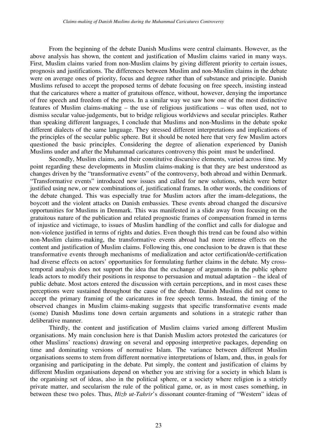From the beginning of the debate Danish Muslims were central claimants. However, as the above analysis has shown, the content and justification of Muslim claims varied in many ways. First, Muslim claims varied from non-Muslim claims by giving different priority to certain issues, prognosis and justifications. The differences between Muslim and non-Muslim claims in the debate were on average ones of priority, focus and degree rather than of substance and principle. Danish Muslims refused to accept the proposed terms of debate focusing on free speech, insisting instead that the caricatures where a matter of gratuitous offence, without, however, denying the importance of free speech and freedom of the press. In a similar way we saw how one of the most distinctive features of Muslim claims-making – the use of religious justifications – was often used, not to dismiss secular value-judgements, but to bridge religious worldviews and secular principles. Rather than speaking different languages, I conclude that Muslims and non-Muslims in the debate spoke different dialects of the same language. They stressed different interpretations and implications of the principles of the secular public sphere. But it should be noted here that very few Muslim actors questioned the basic principles. Considering the degree of alienation experienced by Danish Muslims under and after the Muhammad caricatures controversy this point must be underlined.

Secondly, Muslim claims, and their constitutive discursive elements, varied across time. My point regarding these developments in Muslim claims-making is that they are best understood as changes driven by the "transformative events" of the controversy, both abroad and within Denmark. "Transformative events" introduced new issues and called for new solutions, which were better justified using new, or new combinations of, justificational frames. In other words, the conditions of the debate changed. This was especially true for Muslim actors after the imam-delegations, the boycott and the violent attacks on Danish embassies. These events abroad changed the discursive opportunities for Muslims in Denmark. This was manifested in a slide away from focusing on the gratuitous nature of the publication and related prognostic frames of compensation framed in terms of injustice and victimage, to issues of Muslim handling of the conflict and calls for dialogue and non-violence justified in terms of rights and duties. Even though this trend can be found also within non-Muslim claims-making, the transformative events abroad had more intense effects on the content and justification of Muslim claims. Following this, one conclusion to be drawn is that these transformative events through mechanisms of medialization and actor certification/de-certification had diverse effects on actors' opportunities for formulating further claims in the debate. My crosstemporal analysis does not support the idea that the exchange of arguments in the public sphere leads actors to modify their positions in response to persuasion and mutual adaptation – the ideal of public debate. Most actors entered the discussion with certain perceptions, and in most cases these perceptions were sustained throughout the cause of the debate. Danish Muslims did not come to accept the primary framing of the caricatures in free speech terms. Instead, the timing of the observed changes in Muslim claims-making suggests that specific transformative events made (some) Danish Muslims tone down certain arguments and solutions in a strategic rather than deliberative manner.

Thirdly, the content and justification of Muslim claims varied among different Muslim organisations. My main conclusion here is that Danish Muslim actors protested the caricatures (or other Muslims' reactions) drawing on several and opposing interpretive packages, depending on time and dominating versions of normative Islam. The variance between different Muslim organisations seems to stem from different normative interpretations of Islam, and, thus, in goals for organising and participating in the debate. Put simply, the content and justification of claims by different Muslim organisations depend on whether you are striving for a society in which Islam is the organising set of ideas, also in the political sphere, or a society where religion is a strictly private matter, and secularism the rule of the political game, or, as in most cases something, in between these two poles. Thus, *Hizb ut-Tahrir*'s dissonant counter-framing of "Western" ideas of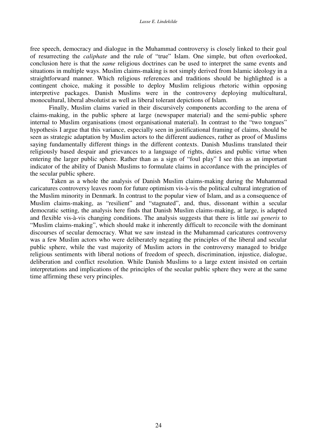free speech, democracy and dialogue in the Muhammad controversy is closely linked to their goal of resurrecting the *caliphate* and the rule of "true" Islam. One simple, but often overlooked, conclusion here is that the *same* religious doctrines can be used to interpret the same events and situations in multiple ways. Muslim claims-making is not simply derived from Islamic ideology in a straightforward manner. Which religious references and traditions should be highlighted is a contingent choice, making it possible to deploy Muslim religious rhetoric within opposing interpretive packages. Danish Muslims were in the controversy deploying multicultural, monocultural, liberal absolutist as well as liberal tolerant depictions of Islam.

Finally, Muslim claims varied in their discursively components according to the arena of claims-making, in the public sphere at large (newspaper material) and the semi-public sphere internal to Muslim organisations (most organisational material). In contrast to the "two tongues" hypothesis I argue that this variance, especially seen in justificational framing of claims, should be seen as strategic adaptation by Muslim actors to the different audiences, rather as proof of Muslims saying fundamentally different things in the different contexts. Danish Muslims translated their religiously based despair and grievances to a language of rights, duties and public virtue when entering the larger public sphere. Rather than as a sign of "foul play" I see this as an important indicator of the ability of Danish Muslims to formulate claims in accordance with the principles of the secular public sphere.

Taken as a whole the analysis of Danish Muslim claims-making during the Muhammad caricatures controversy leaves room for future optimism vis-à-vis the political cultural integration of the Muslim minority in Denmark. In contrast to the popular view of Islam, and as a consequence of Muslim claims-making, as "resilient" and "stagnated", and, thus, dissonant within a secular democratic setting, the analysis here finds that Danish Muslim claims-making, at large, is adapted and flexible vis-à-vis changing conditions. The analysis suggests that there is little *sui generis* to "Muslim claims-making", which should make it inherently difficult to reconcile with the dominant discourses of secular democracy. What we saw instead in the Muhammad caricatures controversy was a few Muslim actors who were deliberately negating the principles of the liberal and secular public sphere, while the vast majority of Muslim actors in the controversy managed to bridge religious sentiments with liberal notions of freedom of speech, discrimination, injustice, dialogue, deliberation and conflict resolution. While Danish Muslims to a large extent insisted on certain interpretations and implications of the principles of the secular public sphere they were at the same time affirming these very principles.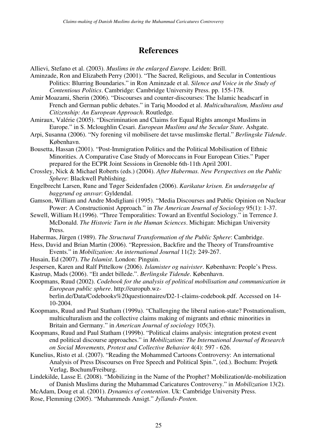# **References**

Allievi, Stefano et al. (2003). *Muslims in the enlarged Europe*. Leiden: Brill.

Aminzade, Ron and Elizabeth Perry (2001). "The Sacred, Religious, and Secular in Contentious Politics: Blurring Boundaries." in Ron Aminzade et al. *Silence and Voice in the Study of Contentious Politics*. Cambridge: Cambridge University Press. pp. 155-178.

Amir Moazami, Sherin (2006). "Discourses and counter-discourses: The Islamic headscarf in French and German public debates." in Tariq Moodod et al. *Multiculturalism, Muslims and Citizenship: An European Approach*. Routledge.

Amiraux, Valérie (2005). "Discrimination and Claims for Equal Rights amongst Muslims in Europe." in S. Mcloughlin Cesari. *European Muslims and the Secular State*. Ashgate.

Arpi, Susanna (2006). "Ny forening vil mobilisere det tavse muslimske flertal." *Berlingske Tidende*. København.

Bousetta, Hassan (2001). "Post-Immigration Politics and the Political Mobilisation of Ethnic Minorities. A Comparative Case Study of Moroccans in Four European Cities." Paper prepared for the ECPR Joint Sessions in Grenoble 6th-11th April 2001.

Crossley, Nick & Michael Roberts (eds.) (2004). *After Habermas. New Perspectives on the Public Sphere*: Blackwell Publishing.

Engelbrecht Larsen, Rune and Tøger Seidenfaden (2006). *Karikatur krisen. En undersøgelse af baggrund og ansvar*: Gyldendal.

- Gamson, William and Andre Modigliani (1995). "Media Discourses and Public Opinion on Nuclear Power: A Constructionist Approach." in *The American Journal of Sociology* 95(1): 1-37.
- Sewell, William H.(1996). "Three Temporalities: Toward an Eventful Sociology." in Terrence J. McDonald. *The Historic Turn in the Human Sciences*. Michigan: Michigan University Press.

Habermas, Jürgen (1989). *The Structural Transformation of the Public Sphere*: Cambridge.

Hess, David and Brian Martin (2006). "Repression, Backfire and the Theory of Transfroamtive Events." in *Mobilization: An international Journal* 11(2): 249-267.

Husain, Ed (2007). *The Islamist*. London: Pinguin.

- Jespersen, Karen and Ralf Pittelkow (2006). *Islamister og naivister*. København: People's Press. Kastrup, Mads (2006). "Et andet billede.". *Berlingske Tidende*. København.
- Koopmans, Ruud (2002). *Codebook for the analysis of political mobilisation and communication in European public sphere*. http://europub.wzberlin.de/Data/Codebooks%20questionnaires/D2-1-claims-codebook.pdf. Accessed on 14- 10-2004.
- Koopmans, Ruud and Paul Statham (1999a). "Challenging the liberal nation-state? Postnationalism, multiculturalism and the collective claims making of migrants and ethnic minorities in Britain and Germany." in *American Journal of sociology* 105(3).
- Koopmans, Ruud and Paul Statham (1999b). "Political claims analysis: integration protest event end political discourse approaches." in *Mobilization: The International Journal of Research on Social Movements, Protest and Collective Behavior* 4(4): 597 - 626.
- Kunelius, Risto et al. (2007). "Reading the Mohammed Cartoons Controversy: An international Analysis of Press Discourses on Free Speech and Political Spin.", (ed.). Bochum: Projetk Verlag, Bochum/Freiburg.

Lindekilde, Lasse E. (2008). "Mobilizing in the Name of the Prophet? Mobilization/de-mobilization of Danish Muslims during the Muhammad Caricatures Controversy." in *Mobilization* 13(2).

McAdam, Doug et al. (2001). *Dynamics of contention*. Uk: Cambridge University Press.

Rose, Flemming (2005). "Muhammeds Ansigt." *Jyllands-Posten*.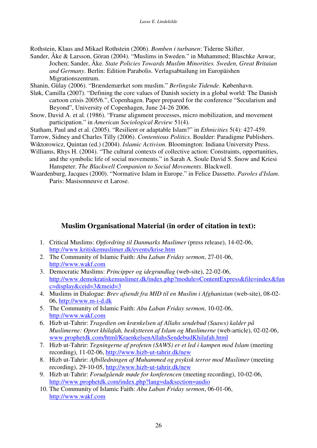Rothstein, Klaus and Mikael Rothstein (2006). *Bomben i turbanen*: Tiderne Skifter.

Sander, Åke & Larsson, Göran (2004). "Muslims in Sweden." in Muhammed; Blaschke Anwar, Jochen; Sander, Åke. *State Policies Towards Muslim Minorities. Sweden, Great Britaian and Germany*. Berlin: Edition Parabolis. Verlagsabtailung im Europäishen Migrationszentrum.

Shanin, Gülay (2006). "Brændemærket som muslim." *Berlingske Tidende*. København.

- Sløk, Camilla (2007). "Defining the core values of Danish society in a global world: The Danish cartoon crisis 2005/6.", Copenhagen. Paper prepared for the conference "Secularism and Beyond", University of Copenhagen, June 24-26 2006.
- Snow, David A. et al. (1986). "Frame alignment processes, micro mobilization, and movement participation." in *American Sociological Review* 51(4).
- Statham, Paul and et al. (2005). "Resilient or adaptable Islam?" in *Ethnicities* 5(4): 427-459.

Tarrow, Sidney and Charles Tilly (2006). *Contentious Politics*. Boulder: Paradigme Publishers.

- Wiktorowicz, Quintan (ed.) (2004). *Islamic Activism*. Bloomington: Indiana University Press.
- Williams, Rhys H. (2004). "The cultural contexts of collective action: Constraints, opportunities, and the symbolic life of social movements." in Sarah A. Soule David S. Snow and Kriesi Hanspeter. *The Blackwell Companion to Social Movements*. Blackwell.
- Waardenburg, Jacques (2000). "Normative Islam in Europe." in Felice Dassetto. *Paroles d'Islam*. Paris: Masisonneuve et Larose.

# **Muslim Organisational Material (in order of citation in text):**

- 1. Critical Muslims: *Opfordring til Danmarks Muslimer* (press release), 14-02-06, http://www.kritiskemuslimer.dk/events/krise.htm
- 2. The Community of Islamic Faith: *Abu Laban Friday sermon*, 27-01-06, http://www.wakf.com
- 3. Democratic Muslims: *Principper og idegrundlag* (web-site), 22-02-06, http://www.demokratiskemuslimer.dk/index.php?module=ContentExpress&file=index&fun c=display&ceid=3&meid=3
- 4. Muslims in Dialogue: *Brev afsendt fra MID til en Muslim i Afghanistan* (web-site), 08-02- 06, http://www.m-i-d.dk
- 5. The Community of Islamic Faith: *Abu Laban Friday sermon*, 10-02-06, http://www.wakf.com
- 6. Hizb ut-Tahrir: *Tragedien om krænkelsen af Allahs sendebud (Saaws) kalder på Muslimerne: Opret khilafah, beskytteren af Islam og Muslimerne* (web-article), 02-02-06, www.prophetdk.com/html/KraenkelsenAllahsSendebudKhilafah.html
- 7. Hizb ut-Tahrir: *Tegningerne af profeten (SAWS) er et led i kampen mod Islam* (meeting recording), 11-02-06, http://www.hizb-ut-tahrir.dk/new
- 8. Hizb ut-Tahrir: *Afbilledningen af Muhammed og psykisk terror mod Muslimer* (meeting recording), 29-10-05, http://www.hizb-ut-tahrir.dk/new
- 9. Hizb ut-Tahrir: *Forudgående møde for konferencen* (meeting recording), 10-02-06, http://www.prophetdk.com/index.php?lang=da&section=audio
- 10. The Community of Islamic Faith: *Abu Laban Friday sermon*, 06-01-06, http://www.wakf.com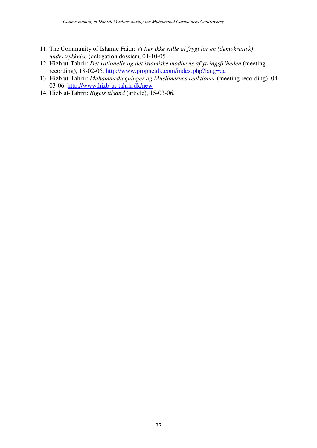- 11. The Community of Islamic Faith: *Vi tier ikke stille af frygt for en (demokratisk) undertrykkelse* (delegation dossier), 04-10-05
- 12. Hizb ut-Tahrir: *Det rationelle og det islamiske modbevis af ytringsfriheden* (meeting recording), 18-02-06, http://www.prophetdk.com/index.php?lang=da
- 13. Hizb ut-Tahrir: *Muhammedtegninger og Muslimernes reaktioner* (meeting recording), 04- 03-06, http://www.hizb-ut-tahrir.dk/new
- 14. Hizb ut-Tahrir: *Rigets tilsand* (article), 15-03-06,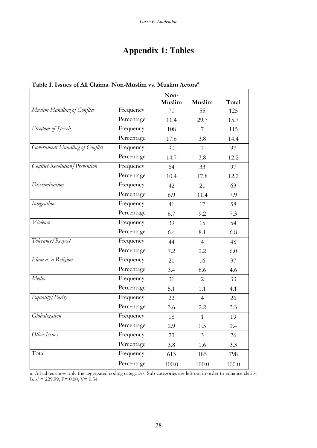# **Appendix 1: Tables**

|                                       |            | Non-<br>Muslim | Muslim         | Total |
|---------------------------------------|------------|----------------|----------------|-------|
| Muslim Handling of Conflict           | Frequency  | 70             | 55             | 125   |
|                                       | Percentage | 11.4           | 29.7           | 15.7  |
| Freedom of Speech                     | Frequency  | 108            | 7              | 115   |
|                                       | Percentage | 17.6           | 3.8            | 14.4  |
| Government Handling of Conflict       | Frequency  | 90             | 7              | 97    |
|                                       | Percentage | 14.7           | 3.8            | 12.2  |
| <b>Conflict Resolution/Prevention</b> | Frequency  | 64             | 33             | 97    |
|                                       | Percentage | 10.4           | 17.8           | 12.2  |
| Discrimination                        | Frequency  | 42             | 21             | 63    |
|                                       | Percentage | 6.9            | 11.4           | 7.9   |
| Integration                           | Frequency  | 41             | 17             | 58    |
|                                       | Percentage | 6.7            | 9.2            | 7.3   |
| Violence                              | Frequency  | 39             | 15             | 54    |
|                                       | Percentage | 6.4            | 8.1            | 6.8   |
| Tolerance/Respect                     | Frequency  | 44             | $\overline{4}$ | 48    |
|                                       | Percentage | 7.2            | 2.2            | 6.0   |
| Islam as a Religion                   | Frequency  | 21             | 16             | 37    |
|                                       | Percentage |                |                |       |
| Media                                 | Frequency  | 3.4            | 8.6            | 4.6   |
|                                       | Percentage | 31             | 2              | 33    |
|                                       |            | 5.1            | 1.1            | 4.1   |
| Equality/Parity                       | Frequency  | 22             | $\overline{4}$ | 26    |
|                                       | Percentage | 3.6            | 2.2            | 3.3   |
| Globalization                         | Frequency  | 18             | $\mathbf{1}$   | 19    |
|                                       | Percentage | 2.9            | 0.5            | 2.4   |
| Other Issues                          | Frequency  | 23             | $\overline{3}$ | 26    |
|                                       | Percentage | 3.8            | 1.6            | 3.3   |
| Total                                 | Frequency  | 613            | 185            | 798   |
|                                       | Percentage | 100.0          | 100.0          | 100.0 |

#### Table 1. Issues of All Claims. Non-Muslim vs. Muslim Actors<sup>a</sup>

a. All tables show only the aggregated coding categories. Sub-categories are left out in order to enhance clarity.<br>b.  $x^2 = 229.99$ ,  $P = 0.00$ ,  $V = 0.54$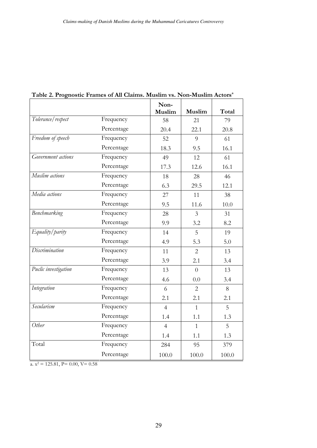|                      |            | Non-<br>Muslim | Muslim         | Total |
|----------------------|------------|----------------|----------------|-------|
| Tolerance/respect    | Frequency  | 58             | 21             | 79    |
|                      | Percentage | 20.4           | 22.1           | 20.8  |
| Freedom of speech    | Frequency  | 52             | 9              | 61    |
|                      | Percentage | 18.3           | 9.5            | 16.1  |
| Government actions   | Frequency  | 49             | 12             | 61    |
|                      | Percentage | 17.3           | 12.6           | 16.1  |
| Muslim actions       | Frequency  | 18             | 28             | 46    |
|                      | Percentage | 6.3            | 29.5           | 12.1  |
| Media actions        | Frequency  | 27             | 11             | 38    |
|                      | Percentage | 9.5            | 11.6           | 10.0  |
| Benchmarking         | Frequency  | 28             | $\overline{3}$ | 31    |
|                      | Percentage | 9.9            | 3.2            | 8.2   |
| Equality/parity      | Frequency  | 14             | 5              | 19    |
|                      | Percentage | 4.9            | 5.3            | 5.0   |
| Discrimination       | Frequency  | 11             | $\overline{2}$ | 13    |
|                      | Percentage | 3.9            | 2.1            | 3.4   |
| Puclic investigation | Frequency  | 13             | $\Omega$       | 13    |
|                      | Percentage | 4.6            | 0.0            | 3.4   |
| Integration          | Frequency  | 6              | $\overline{2}$ | 8     |
|                      | Percentage | 2.1            | 2.1            | 2.1   |
| Secularism           | Frequency  | $\overline{4}$ | $\mathbf{1}$   | 5     |
|                      | Percentage | 1.4            | 1.1            | 1.3   |
| Other                | Frequency  | $\overline{4}$ | $\mathbf{1}$   | 5     |
|                      | Percentage | 1.4            | 1.1            | 1.3   |
| Total                | Frequency  | 284            | 95             | 379   |
|                      | Percentage | 100.0          | 100.0          | 100.0 |

Table 2. Prognostic Frames of All Claims. Muslim vs. Non-Muslim Actors<sup>a</sup>

a.  $x^2 = 125.81$ , P= 0.00, V= 0.58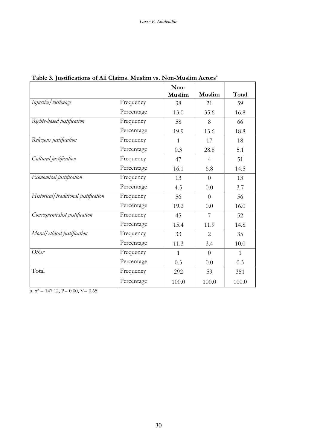|                                      |            | Non-         |                |              |
|--------------------------------------|------------|--------------|----------------|--------------|
|                                      |            | Muslim       | Muslim         | Total        |
| Injustice / victimage                | Frequency  | 38           | 21             | 59           |
|                                      | Percentage | 13.0         | 35.6           | 16.8         |
| Rights-based justification           | Frequency  | 58           | 8              | 66           |
|                                      | Percentage | 19.9         | 13.6           | 18.8         |
| Religious justification              | Frequency  | $\mathbf{1}$ | 17             | 18           |
|                                      | Percentage | 0.3          | 28.8           | 5.1          |
| Cultural justification               | Frequency  | 47           | $\overline{4}$ | 51           |
|                                      | Percentage | 16.1         | 6.8            | 14.5         |
| Economical justification             | Frequency  | 13           | $\Omega$       | 13           |
|                                      | Percentage | 4.5          | 0.0            | 3.7          |
| Historical/traditional justification | Frequency  | 56           | $\overline{0}$ | 56           |
|                                      | Percentage | 19.2         | 0.0            | 16.0         |
| Consequentialist justification       | Frequency  | 45           | 7              | 52           |
|                                      | Percentage | 15.4         | 11.9           | 14.8         |
| Moral/ethical justification          | Frequency  | 33           | $\overline{2}$ | 35           |
|                                      | Percentage | 11.3         | 3.4            | 10.0         |
| Other                                | Frequency  | $\mathbf{1}$ | $\theta$       | $\mathbf{1}$ |
|                                      | Percentage | 0.3          | 0.0            | 0.3          |
| Total                                | Frequency  | 292          | 59             | 351          |
|                                      | Percentage | 100.0        | 100.0          | 100.0        |

# Table 3. Justifications of All Claims. Muslim vs. Non-Muslim Actors<sup>a</sup>

a.  $x^2 = 147.12$ ,  $P = 0.00$ ,  $V = 0.65$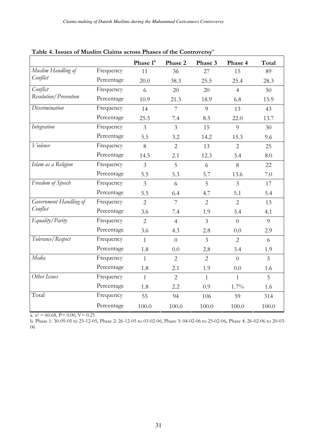|                        |            | Phase 1 <sup>b</sup> | Phase 2         | Phase 3        | Phase 4        | Total |
|------------------------|------------|----------------------|-----------------|----------------|----------------|-------|
| Muslim Handling of     | Frequency  | 11                   | 36              | 27             | 15             | 89    |
| Conflict               | Percentage | 20.0                 | 38.3            | 25.5           | 25.4           | 28.3  |
| Conflict               | Frequency  | 6                    | 20              | 20             | $\overline{4}$ | 50    |
| Resolution/Prevention  | Percentage | 10.9                 | 21.3            | 18.9           | 6.8            | 15.9  |
| Discrimination         | Frequency  | 14                   | $7\overline{ }$ | $\overline{Q}$ | 13             | 43    |
|                        | Percentage | 25.5                 | 7.4             | 8.5            | 22.0           | 13.7  |
| Integration            | Frequency  | $\overline{3}$       | $\overline{3}$  | 15             | 9              | 30    |
|                        | Percentage | 5.5                  | 3.2             | 14.2           | 15.3           | 9.6   |
| Violence               | Frequency  | 8                    | $\overline{2}$  | 13             | $\overline{2}$ | 25    |
|                        | Percentage | 14.5                 | 2.1             | 12.3           | 3.4            | 8.0   |
| Islam as a Religion    | Frequency  | $\overline{3}$       | 5               | 6              | 8              | 22    |
|                        | Percentage | 5.5                  | 5.3             | 5.7            | 13.6           | 7.0   |
| Freedom of Speech      | Frequency  | $\overline{3}$       | 6               | 5              | $\overline{3}$ | 17    |
|                        | Percentage | 5.5                  | 6.4             | 4.7            | 5.1            | 5.4   |
| Government Handling of | Frequency  | $\overline{2}$       | 7               | $\overline{2}$ | $\overline{2}$ | 13    |
| Conflict               | Percentage | 3.6                  | 7.4             | 1.9            | 3.4            | 4.1   |
| Equality/Parity        | Frequency  | $\overline{2}$       | $\overline{4}$  | $\overline{3}$ | $\Omega$       | 9     |
|                        | Percentage | 3.6                  | 4.3             | 2.8            | 0.0            | 2.9   |
| Tolerance/Respect      | Frequency  | $\mathbf{1}$         | $\Omega$        | $\overline{3}$ | $\overline{2}$ | 6     |
|                        | Percentage | 1.8                  | 0.0             | 2.8            | 3.4            | 1.9   |
| Media                  | Frequency  | $\mathbf{1}$         | $\overline{2}$  | $\overline{2}$ | $\Omega$       | 5     |
|                        | Percentage | 1.8                  | 2.1             | 1.9            | 0.0            | 1.6   |
| Other Issues           | Frequency  | $\mathbf{1}$         | $\overline{2}$  | $\mathbf{1}$   | $\mathbf{1}$   | 5     |
|                        | Percentage | 1.8                  | 2.2             | 0.9            | $1.7\%$        | 1.6   |
| Total                  | Frequency  | 55                   | 94              | 106            | 59             | 314   |
|                        | Percentage | 100.0                | 100.0           | 100.0          | 100.0          | 100.0 |

Table 4. Issues of Muslim Claims across Phases of the Controversy<sup>a</sup>

a.  $x^2 = 60.68$ , P= 0.00, V= 0.25

b. Phase 1: 30-09-05 to 25-12-05, Phase 2: 26-12-05 to 03-02-06, Phase 3: 04-02-06 to 25-02-06, Phase 4: 26-02-06 to 20-03-06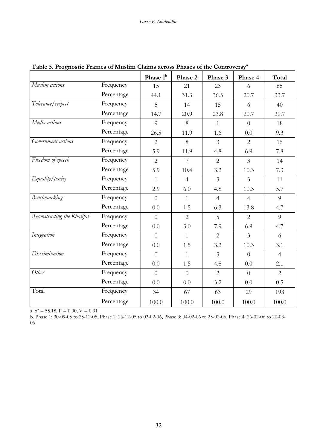|                             |            | Phase 1 <sup>b</sup> | Phase 2        | Phase 3        | Phase 4        | Total          |
|-----------------------------|------------|----------------------|----------------|----------------|----------------|----------------|
| Muslim actions              | Frequency  | 15                   | 21             | 23             | 6              | 65             |
|                             | Percentage | 44.1                 | 31.3           | 36.5           | 20.7           | 33.7           |
| Tolerance/respect           | Frequency  | 5                    | 14             | 15             | 6              | 40             |
|                             | Percentage | 14.7                 | 20.9           | 23.8           | 20.7           | 20.7           |
| Media actions               | Frequency  | 9                    | 8              | $\mathbf{1}$   | $\overline{0}$ | 18             |
|                             | Percentage | 26.5                 | 11.9           | 1.6            | 0.0            | 9.3            |
| Government actions          | Frequency  | $\overline{2}$       | 8              | $\mathfrak{Z}$ | 2              | 15             |
|                             | Percentage | 5.9                  | 11.9           | 4.8            | 6.9            | 7.8            |
| Freedom of speech           | Frequency  | $\overline{2}$       | $\overline{7}$ | 2              | $\overline{3}$ | 14             |
|                             | Percentage | 5.9                  | 10.4           | 3.2            | 10.3           | 7.3            |
| Equality/parity             | Frequency  | $\mathbf{1}$         | $\overline{4}$ | $\overline{3}$ | $\overline{3}$ | 11             |
|                             | Percentage | 2.9                  | 6.0            | 4.8            | 10.3           | 5.7            |
| Benchmarking                | Frequency  | $\overline{0}$       | $\mathbf{1}$   | $\overline{4}$ | $\overline{4}$ | 9              |
|                             | Percentage | 0.0                  | 1.5            | 6.3            | 13.8           | 4.7            |
| Reconstructing the Khalifat | Frequency  | $\overline{0}$       | 2              | 5              | 2              | 9              |
|                             | Percentage | 0.0                  | 3.0            | 7.9            | 6.9            | 4.7            |
| Integration                 | Frequency  | $\overline{0}$       | $\mathbf{1}$   | $\overline{2}$ | $\overline{3}$ | 6              |
|                             | Percentage | 0.0                  | 1.5            | 3.2            | 10.3           | 3.1            |
| Discrimination              | Frequency  | $\overline{0}$       | $\mathbf{1}$   | $\overline{3}$ | $\overline{0}$ | $\overline{4}$ |
|                             | Percentage | 0.0                  | 1.5            | 4.8            | 0.0            | 2.1            |
| Other                       | Frequency  | $\overline{0}$       | $\overline{0}$ | $\overline{2}$ | $\overline{0}$ | $\overline{2}$ |
|                             | Percentage | 0.0                  | 0.0            | 3.2            | 0.0            | 0.5            |
| Total                       | Frequency  | 34                   | 67             | 63             | 29             | 193            |
|                             | Percentage | 100.0                | 100.0          | 100.0          | 100.0          | 100.0          |

Table 5. Prognostic Frames of Muslim Claims across Phases of the Controversy<sup>a</sup>

a.  $x^2 = 55.18$ ,  $P = 0.00$ ,  $V = 0.31$ 

b. Phase 1: 30-09-05 to 25-12-05, Phase 2: 26-12-05 to 03-02-06, Phase 3: 04-02-06 to 25-02-06, Phase 4: 26-02-06 to 20-03- $06\,$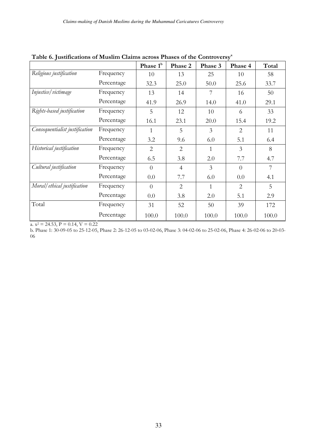|                                |            | Phase 1 <sup>b</sup> | Phase 2        | Phase 3        | Phase 4        | Total |
|--------------------------------|------------|----------------------|----------------|----------------|----------------|-------|
| Religious justification        | Frequency  | 10                   | 13             | 25             | 10             | 58    |
|                                | Percentage | 32.3                 | 25.0           | 50.0           | 25.6           | 33.7  |
| Injustice/victimage            | Frequency  | 13                   | 14             | 7              | 16             | 50    |
|                                | Percentage | 41.9                 | 26.9           | 14.0           | 41.0           | 29.1  |
| Rights-based justification     | Frequency  | 5                    | 12             | 10             | 6              | 33    |
|                                | Percentage | 16.1                 | 23.1           | 20.0           | 15.4           | 19.2  |
| Consequentialist justification | Frequency  | 1                    | 5              | 3              | $\overline{2}$ | 11    |
|                                | Percentage | 3.2                  | 9.6            | 6.0            | 5.1            | 6.4   |
| Historical justification       | Frequency  | 2                    | $\overline{2}$ | 1              | 3              | 8     |
|                                | Percentage | 6.5                  | 3.8            | 2.0            | 7.7            | 4.7   |
| Cultural justification         | Frequency  | $\Omega$             | $\overline{4}$ | $\overline{3}$ | $\Omega$       | 7     |
|                                | Percentage | 0.0                  | 7.7            | 6.0            | 0.0            | 4.1   |
| Moral/ethical justification    | Frequency  | $\Omega$             | $\overline{2}$ | 1              | $\overline{2}$ | 5     |
|                                | Percentage | 0.0                  | 3.8            | 2.0            | 5.1            | 2.9   |
| Total                          | Frequency  | 31                   | 52             | 50             | 39             | 172   |
|                                | Percentage | 100.0                | 100.0          | 100.0          | 100.0          | 100.0 |

Table 6. Iustifications of Muslim Claims across Phases of the Controversy<sup>3</sup>

a.  $x^2 = 24.53$ ,  $P = 0.14$ ,  $V = 0.22$ 

b. Phase 1: 30-09-05 to 25-12-05, Phase 2: 26-12-05 to 03-02-06, Phase 3: 04-02-06 to 25-02-06, Phase 4: 26-02-06 to 20-03-06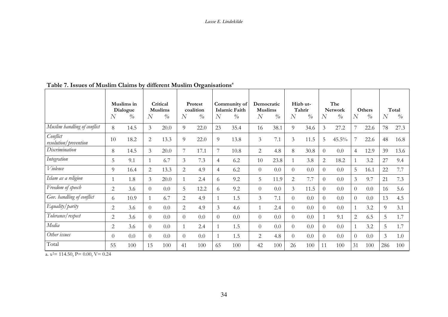|                                           | N              | Muslims in<br>Dialogue<br>$\frac{\partial}{\partial \rho}$ | N              | Critical<br><b>Muslims</b><br>$\frac{\partial}{\partial \theta}$ | N              | Protest<br>coalition<br>$\frac{\partial}{\partial \rho}$ | $\overline{N}$ | Community of<br><b>Islamic Faith</b><br>$\frac{0}{0}$ | Democratic<br><b>Muslims</b><br>$\overline{N}$ | $\frac{o}{o}$ | $\overline{N}$ | Hizb ut-<br>Tahrir<br>$\frac{\partial}{\partial \theta}$ | $\overline{N}$ | The<br><b>Network</b><br>$\frac{\partial}{\partial \rho}$ | $\overline{N}$ | Others<br>$\frac{0}{0}$ | $\overline{N}$ | Total<br>$\frac{0}{0}$ |
|-------------------------------------------|----------------|------------------------------------------------------------|----------------|------------------------------------------------------------------|----------------|----------------------------------------------------------|----------------|-------------------------------------------------------|------------------------------------------------|---------------|----------------|----------------------------------------------------------|----------------|-----------------------------------------------------------|----------------|-------------------------|----------------|------------------------|
| $\overline{M}$ uslim handling of conflict | 8              | 14.5                                                       | 3              | 20.0                                                             | 9              | 22.0                                                     | 23             | 35.4                                                  | 16                                             | 38.1          | 9              | 34.6                                                     | 3              | 27.2                                                      | 7              | 22.6                    | 78             | 27.3                   |
| Conflict<br>resolution/prevention         | 10             | 18.2                                                       | $\overline{2}$ | 13.3                                                             | $\overline{Q}$ | 22.0                                                     | 9              | 13.8                                                  | $\overline{3}$                                 | 7.1           | $\overline{3}$ | 11.5                                                     | 5              | 45.5%                                                     |                | 22.6                    | 48             | 16.8                   |
| Discrimination                            | 8              | 14.5                                                       | 3              | 20.0                                                             | 7              | 17.1                                                     | 7              | 10.8                                                  | $\overline{2}$                                 | 4.8           | 8              | 30.8                                                     | $\Omega$       | 0.0                                                       | 4              | 12.9                    | 39             | 13.6                   |
| Integration                               | 5              | 9.1                                                        |                | 6.7                                                              | $\overline{3}$ | 7.3                                                      | $\overline{4}$ | 6.2                                                   | 10                                             | 23.8          |                | 3.8                                                      | $\overline{2}$ | 18.2                                                      |                | 3.2                     | 27             | 9.4                    |
| Violence                                  | 9              | 16.4                                                       | 2              | 13.3                                                             | 2              | 4.9                                                      | $\overline{4}$ | 6.2                                                   | $\overline{0}$                                 | 0.0           | $\Omega$       | 0.0                                                      | $\Omega$       | 0.0                                                       | 5              | 16.1                    | 22             | 7.7                    |
| Islam as a religion                       | 1              | 1.8                                                        | 3              | 20.0                                                             |                | 2.4                                                      | 6              | 9.2                                                   | 5                                              | 11.9          | 2              | 7.7                                                      | $\theta$       | 0.0                                                       | $\mathfrak{Z}$ | 9.7                     | 21             | 7.3                    |
| Freedom of speech                         | $\mathbf{2}$   | 3.6                                                        | $\Omega$       | 0.0                                                              | 5              | 12.2                                                     | 6              | 9.2                                                   | $\overline{0}$                                 | 0.0           | 3              | 11.5                                                     | $\theta$       | 0.0                                                       | $\Omega$       | 0.0                     | 16             | 5.6                    |
| Gov. handling of conflict                 | 6              | 10.9                                                       | 1              | 6.7                                                              | 2              | 4.9                                                      |                | 1.5                                                   | $\overline{3}$                                 | 7.1           | $\Omega$       | 0.0                                                      | $\theta$       | 0.0                                                       | $\Omega$       | 0.0                     | 13             | 4.5                    |
| Equality/parity                           | $\overline{2}$ | 3.6                                                        | $\Omega$       | 0.0                                                              | 2              | 4.9                                                      | 3              | 4.6                                                   | 1                                              | 2.4           | $\Omega$       | 0.0                                                      | $\Omega$       | 0.0                                                       |                | 3.2                     | 9              | 3.1                    |
| Tolerance/respect                         | $\overline{2}$ | 3.6                                                        | $\Omega$       | 0.0                                                              | $\Omega$       | 0.0                                                      | $\theta$       | 0.0                                                   | $\overline{0}$                                 | 0.0           | $\Omega$       | 0.0                                                      |                | 9.1                                                       | $\overline{2}$ | 6.5                     | 5              | 1.7                    |
| Media                                     | 2              | 3.6                                                        | $\Omega$       | $0.0\,$                                                          |                | 2.4                                                      |                | 1.5                                                   | $\theta$                                       | 0.0           | 0              | 0.0                                                      | $\Omega$       | 0.0                                                       |                | 3.2                     | 5              | 1.7                    |
| Other issues                              | $\theta$       | 0.0                                                        | $\Omega$       | 0.0                                                              | $\Omega$       | 0.0                                                      |                | 1.5                                                   | 2                                              | 4.8           | 0              | 0.0                                                      | $\Omega$       | 0.0                                                       | $\Omega$       | 0.0                     | $\mathfrak{Z}$ | 1.0                    |
| Total                                     | 55             | 100                                                        | 15             | 100                                                              | 41             | 100                                                      | 65             | 100                                                   | 42                                             | 100           | 26             | 100                                                      | 11             | 100                                                       | 31             | 100                     | 286            | 100                    |

## Table 7. Issues of Muslim Claims by different Muslim Organisations<sup>a</sup>

a.  $x^2$  = 114.50, P = 0.00, V = 0.24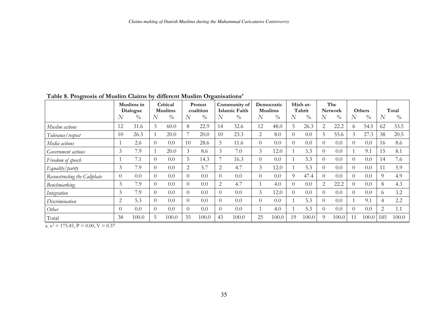|                              |          | Muslims in<br>Dialogue |          | Critical<br><b>Muslims</b> |          | Protest<br>coalition               |                | Community of<br>Islamic Faith |                | Democratic<br><b>Muslims</b>       |          | Hizb ut-<br>Tahrir                 |                | The<br><b>Network</b> |                | Others        |          | Total |
|------------------------------|----------|------------------------|----------|----------------------------|----------|------------------------------------|----------------|-------------------------------|----------------|------------------------------------|----------|------------------------------------|----------------|-----------------------|----------------|---------------|----------|-------|
|                              | N        | $\%$                   | N        | $\frac{0}{0}$              | N        | $\frac{\partial}{\partial \theta}$ | $\overline{N}$ | $\frac{0}{0}$                 | $\overline{N}$ | $\frac{\partial}{\partial \theta}$ | N        | $\frac{\partial}{\partial \theta}$ | $\overline{N}$ | $\frac{0}{0}$         | $\overline{N}$ | $\frac{0}{0}$ | N        | $\%$  |
| Muslim actions               | 12       | 31.6                   | 3        | 60.0                       | 8        | 22.9                               | 14             | 32.6                          | 12             | 48.0                               | 5        | 26.3                               | 2              | 22.2                  | $\Omega$       | 54.5          | 62       | 33.5  |
| Tolerance/respect            | 10       | 26.3                   |          | 20.0                       |          | 20.0                               | 10             | 23.3                          | 2              | 8.0                                | $\Omega$ | 0.0                                | 5              | 55.6                  | 3              | 27.3          | 38       | 20.5  |
| Media actions                |          | 2.6                    | $\Omega$ | 0.0                        | 10       | 28.6                               | 5              | 11.6                          | $\theta$       | 0.0                                | $\Omega$ | 0.0                                | $\Omega$       | 0.0                   | $\Omega$       | 0.0           | 16       | 8.6   |
| Government actions           | 3        | 7.9                    |          | 20.0                       | 3        | 8.6                                | 3              | 7.0                           | 3              | 12.0                               |          | 5.3                                | $\theta$       | 0.0                   |                | 9.1           | 15       | 8.1   |
| Freedom of speech            |          | 7.1                    | $\Omega$ | 0.0                        | 5        | 14.3                               | 7              | 16.3                          | $\theta$       | 0.0                                |          | 5.3                                | $\Omega$       | 0.0                   | $\Omega$       | 0.0           | 14       | 7.6   |
| Equality/parity              | 3        | 7.9                    | $\Omega$ | 0.0                        | 2        | 5.7                                | 2              | 4.7                           | 3              | 12.0                               |          | 5.3                                | $\theta$       | 0.0                   | $\theta$       | 0.0           |          | 5.9   |
| Reconstructing the Caliphate | $\theta$ | 0.0                    | $\Omega$ | 0.0                        | $\Omega$ | 0.0                                | $\Omega$       | 0.0                           | $\theta$       | 0.0                                | 9        | 47.4                               | $\Omega$       | 0.0                   | $\Omega$       | 0.0           | 9        | 4.9   |
| Benchmarking                 | 3        | 7.9                    | $\Omega$ | 0.0                        | $\Omega$ | 0.0                                | 2              | 4.7                           | 1              | 4.0                                | $\Omega$ | 0.0                                | 2              | 22.2                  | $\theta$       | 0.0           | 8        | 4.3   |
| Integration                  | 3        | 7.9                    | $\Omega$ | 0.0                        | $\Omega$ | 0.0                                | $\Omega$       | 0.0                           | 3              | 12.0                               | $\Omega$ | 0.0                                | $\Omega$       | 0.0                   | $\Omega$       | 0.0           | $\Omega$ | 3.2   |
| Discrimination               | 2        | 5.3                    | $\theta$ | 0.0                        | $\Omega$ | 0.0                                | $\overline{0}$ | 0.0                           | $\overline{0}$ | 0.0                                |          | 5.3                                | $\theta$       | 0.0                   |                | 9.1           | 4        | 2.2   |
| Other                        | 0        | 0.0                    | $\theta$ | 0.0                        | $\Omega$ | 0.0                                | $\Omega$       | 0.0                           | 1              | 4.0                                |          | 5.3                                | $\Omega$       | 0.0                   | $\Omega$       | 0.0           | 2        | 1.1   |
| Total                        | 38       | 100.0                  | 5.       | 100.0                      | 35       | 100.0                              | 43             | 100.0                         | 25             | 100.0                              | 19       | 100.0                              | 9              | 100.0                 | 11             | 100.0         | 185      | 100.0 |

Table 8. Prognosis of Muslim Claims by different Muslim Organisations<sup>a</sup>

a.  $x^2 = 175.45$ ,  $P = 0.00$ ,  $V = 0.37$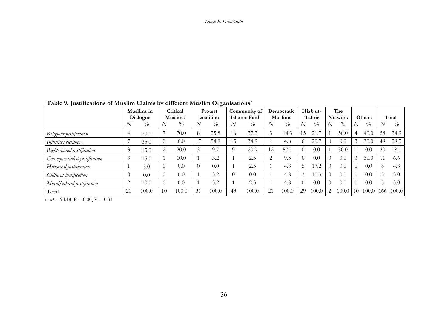Lasse E. Lindekilde

| I abic 9. Justifications of musulif Claims by<br>unciclit musulli Organisations |                        |         |                            |       |                             |       |                               |       |                              |       |                    |       |                       |       |        |       |       |       |
|---------------------------------------------------------------------------------|------------------------|---------|----------------------------|-------|-----------------------------|-------|-------------------------------|-------|------------------------------|-------|--------------------|-------|-----------------------|-------|--------|-------|-------|-------|
|                                                                                 | Muslims in<br>Dialogue |         | Critical<br><b>Muslims</b> |       | <b>Protest</b><br>coalition |       | Community of<br>Islamic Faith |       | Democratic<br><b>Muslims</b> |       | Hizb ut-<br>Tahrir |       | The<br><b>Network</b> |       | Others |       | Total |       |
|                                                                                 | N                      | $\%$    |                            | $\%$  | N                           | $\%$  | N                             | $\%$  |                              | $\%$  |                    | $\%$  |                       | $\%$  |        | $\%$  | N     | $\%$  |
| Religious justification                                                         |                        | 20.0    |                            | 70.0  | 8                           | 25.8  | 16                            | 37.2  |                              | 14.3  | 15                 | 21.7  |                       | 50.0  |        | 40.0  | 58    | 34.9  |
| Injustice/victimage                                                             |                        | 35.0    |                            | 0.0   |                             | 54.8  | 15                            | 34.9  |                              | 4.8   |                    | 20.   |                       | 0.0   |        | 30.0  | 49    | 29.5  |
| Rights-based justification                                                      |                        | 15.0    |                            | 20.0  |                             | 9.7   |                               | 20.9  | 12                           | 57.1  |                    | 0.0   |                       | 50.0  |        | 0.0   | 30    | 18.1  |
| Consequentialist justification                                                  |                        | 15.0    |                            | 10.0  |                             | 3.2   |                               | 2.3   |                              | 9.5   |                    | 0.0   |                       | 0.0   |        | 30.0  | 11    | 6.6   |
| Historical justification                                                        |                        | 5.0     |                            | 0.0   |                             | 0.0   |                               | 2.3   |                              | 4.8   |                    | 17.2  |                       | 0.0   |        | 0.0   | 8     | 4.8   |
| Cultural justification                                                          | $\Omega$               | $0.0\,$ |                            | 0.0   |                             | 3.2   |                               | 0.0   |                              | 4.8   | 3                  | 10.3  |                       | 0.0   |        | 0.0   |       | 3.0   |
| Moral/ethical justification                                                     |                        | 10.0    |                            | 0.0   |                             | 3.2   |                               | 2.3   |                              | 4.8   |                    | 0.0   |                       | 0.0   |        | 0.0   |       | 3.0   |
| Total                                                                           | <b>20</b>              | 100.0   | 10                         | 100.0 | 31                          | 100.0 | 43                            | 100.0 | 21                           | 100.0 | 29                 | 100.0 | 2                     | 100.0 | -10    | 100.0 | 166   | 100.0 |

Table 9. Iustifications of Muslim Claims by different Muslim Organisations<sup>a</sup>

 $\overline{a_x x^2} = 94.18$ ,  $P = 0.00$ ,  $V = 0.31$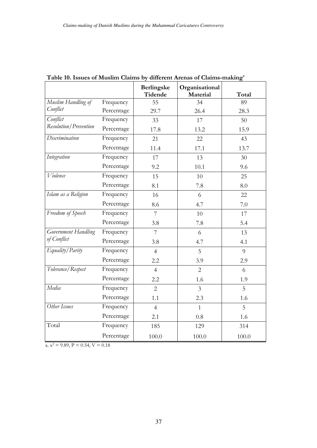|                                |            | Berlingske<br><b>Tidende</b> | Organisational<br>Material | Total |
|--------------------------------|------------|------------------------------|----------------------------|-------|
| Muslim Handling of             | Frequency  | 55                           | 34                         | 89    |
| Conflict                       | Percentage | 29.7                         | 26.4                       | 28.3  |
| Conflict                       | Frequency  | 33                           | 17                         | 50    |
| <b>Resolution</b> / Prevention | Percentage | 17.8                         | 13.2                       | 15.9  |
| Discrimination                 | Frequency  | 21                           | 22                         | 43    |
|                                | Percentage | 11.4                         | 17.1                       | 13.7  |
| Integration                    | Frequency  | 17                           | 13                         | 30    |
|                                | Percentage | 9.2                          | 10.1                       | 9.6   |
| Violence                       | Frequency  | 15                           | 10                         | 25    |
|                                | Percentage | 8.1                          | 7.8                        | 8.0   |
| Islam as a Religion            | Frequency  | 16                           | 6                          | 22    |
|                                | Percentage | 8.6                          | 4.7                        | 7.0   |
| Freedom of Speech              | Frequency  | $\overline{7}$               | 10                         | 17    |
|                                | Percentage | 3.8                          | 7.8                        | 5.4   |
| Government Handling            | Frequency  | 7                            | 6                          | 13    |
| of Conflict                    | Percentage | 3.8                          | 4.7                        | 4.1   |
| Equality/Parity                | Frequency  | $\overline{4}$               | 5                          | 9     |
|                                | Percentage | 2.2                          | 3.9                        | 2.9   |
| Tolerance/Respect              | Frequency  | $\overline{4}$               | $\overline{2}$             | 6     |
|                                | Percentage | 2.2                          | 1.6                        | 1.9   |
| Media                          | Frequency  | $\overline{2}$               | $\overline{3}$             | 5     |
|                                | Percentage | 1.1                          | 2.3                        | 1.6   |
| Other Issues                   | Frequency  | $\overline{4}$               | $\mathbf{1}$               | 5     |
|                                | Percentage | 2.1                          | 0.8                        | 1.6   |
| Total                          | Frequency  | 185                          | 129                        | 314   |
|                                | Percentage | 100.0                        | 100.0                      | 100.0 |

Table 10. Issues of Muslim Claims by different Arenas of Claims-making<sup>a</sup>

a.  $x^2 = 9.89$ ,  $P = 0.54$ ,  $V = 0.18$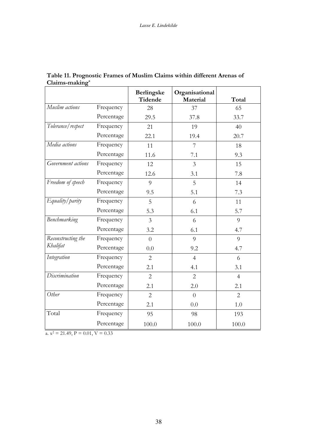|                    |            | Berlingske<br>Tidende | Organisational<br>Material | Total          |
|--------------------|------------|-----------------------|----------------------------|----------------|
| Muslim actions     | Frequency  | 28                    | 37                         | 65             |
|                    | Percentage | 29.5                  | 37.8                       | 33.7           |
| Tolerance/respect  | Frequency  | 21                    | 19                         | 40             |
|                    | Percentage | 22.1                  | 19.4                       | 20.7           |
| Media actions      | Frequency  | 11                    | 7                          | 18             |
|                    | Percentage | 11.6                  | 7.1                        | 9.3            |
| Government actions | Frequency  | 12                    | $\overline{3}$             | 15             |
|                    | Percentage | 12.6                  | 3.1                        | 7.8            |
| Freedom of speech  | Frequency  | 9                     | 5                          | 14             |
|                    | Percentage | 9.5                   | 5.1                        | 7.3            |
| Equality/parity    | Frequency  | 5                     | 6                          | 11             |
|                    | Percentage | 5.3                   | 6.1                        | 5.7            |
| Benchmarking       | Frequency  | $\mathfrak{Z}$        | 6                          | 9              |
|                    | Percentage | 3.2                   | 6.1                        | 4.7            |
| Reconstructing the | Frequency  | $\overline{0}$        | $\overline{Q}$             | $\overline{Q}$ |
| Khalifat           | Percentage | 0.0                   | 9.2                        | 4.7            |
| Integration        | Frequency  | $\overline{2}$        | $\overline{4}$             | 6              |
|                    | Percentage | 2.1                   | 4.1                        | 3.1            |
| Discrimination     | Frequency  | $\overline{2}$        | $\overline{2}$             | $\overline{4}$ |
|                    | Percentage | 2.1                   | 2.0                        | 2.1            |
| Other              | Frequency  | $\overline{2}$        | $\theta$                   | $\overline{2}$ |
|                    | Percentage | 2.1                   | 0.0                        | 1.0            |
| Total              | Frequency  | 95                    | 98                         | 193            |
|                    | Percentage | 100.0                 | 100.0                      | 100.0          |

Table 11. Prognostic Frames of Muslim Claims within different Arenas of  $Claims-making<sup>a</sup>$ 

a.  $x^2 = 21.49$ ,  $P = 0.01$ ,  $V = 0.33$